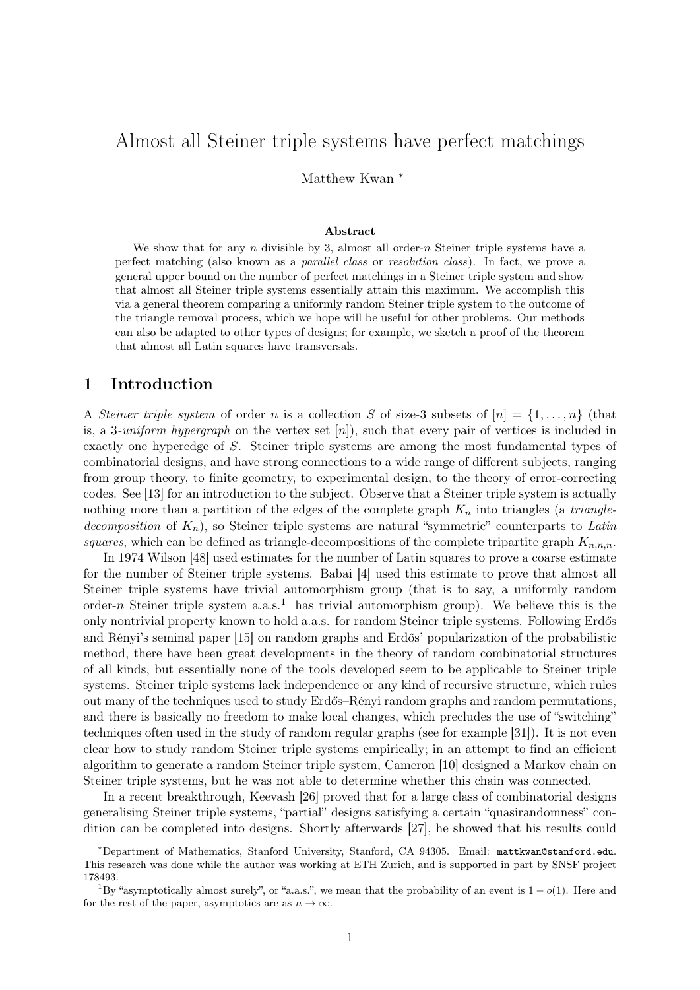# Almost all Steiner triple systems have perfect matchings

Matthew Kwan <sup>∗</sup>

#### Abstract

We show that for any  $n$  divisible by 3, almost all order- $n$  Steiner triple systems have a perfect matching (also known as a parallel class or resolution class). In fact, we prove a general upper bound on the number of perfect matchings in a Steiner triple system and show that almost all Steiner triple systems essentially attain this maximum. We accomplish this via a general theorem comparing a uniformly random Steiner triple system to the outcome of the triangle removal process, which we hope will be useful for other problems. Our methods can also be adapted to other types of designs; for example, we sketch a proof of the theorem that almost all Latin squares have transversals.

### 1 Introduction

A Steiner triple system of order n is a collection S of size-3 subsets of  $[n] = \{1, \ldots, n\}$  (that is, a 3-uniform hypergraph on the vertex set  $[n]$ , such that every pair of vertices is included in exactly one hyperedge of S. Steiner triple systems are among the most fundamental types of combinatorial designs, and have strong connections to a wide range of different subjects, ranging from group theory, to finite geometry, to experimental design, to the theory of error-correcting codes. See [\[13\]](#page-25-0) for an introduction to the subject. Observe that a Steiner triple system is actually nothing more than a partition of the edges of the complete graph  $K_n$  into triangles (a *triangle*decomposition of  $K_n$ ), so Steiner triple systems are natural "symmetric" counterparts to Latin squares, which can be defined as triangle-decompositions of the complete tripartite graph  $K_{n,n,n}$ .

In 1974 Wilson [\[48\]](#page-26-0) used estimates for the number of Latin squares to prove a coarse estimate for the number of Steiner triple systems. Babai [\[4\]](#page-25-1) used this estimate to prove that almost all Steiner triple systems have trivial automorphism group (that is to say, a uniformly random order-n Steiner triple system  $a.a.s.<sup>1</sup>$  $a.a.s.<sup>1</sup>$  $a.a.s.<sup>1</sup>$  has trivial automorphism group). We believe this is the only nontrivial property known to hold a.a.s. for random Steiner triple systems. Following Erdős and Rényi's seminal paper [\[15\]](#page-25-2) on random graphs and Erdős' popularization of the probabilistic method, there have been great developments in the theory of random combinatorial structures of all kinds, but essentially none of the tools developed seem to be applicable to Steiner triple systems. Steiner triple systems lack independence or any kind of recursive structure, which rules out many of the techniques used to study Erdős–Rényi random graphs and random permutations, and there is basically no freedom to make local changes, which precludes the use of "switching" techniques often used in the study of random regular graphs (see for example [\[31\]](#page-26-1)). It is not even clear how to study random Steiner triple systems empirically; in an attempt to find an efficient algorithm to generate a random Steiner triple system, Cameron [\[10\]](#page-25-3) designed a Markov chain on Steiner triple systems, but he was not able to determine whether this chain was connected.

In a recent breakthrough, Keevash [\[26\]](#page-25-4) proved that for a large class of combinatorial designs generalising Steiner triple systems, "partial" designs satisfying a certain "quasirandomness" condition can be completed into designs. Shortly afterwards [\[27\]](#page-25-5), he showed that his results could

<sup>∗</sup>Department of Mathematics, Stanford University, Stanford, CA 94305. Email: <mattkwan@stanford.edu>. This research was done while the author was working at ETH Zurich, and is supported in part by SNSF project 178493.

<span id="page-0-0"></span><sup>&</sup>lt;sup>1</sup>By "asymptotically almost surely", or "a.a.s.", we mean that the probability of an event is  $1-o(1)$ . Here and for the rest of the paper, asymptotics are as  $n \to \infty$ .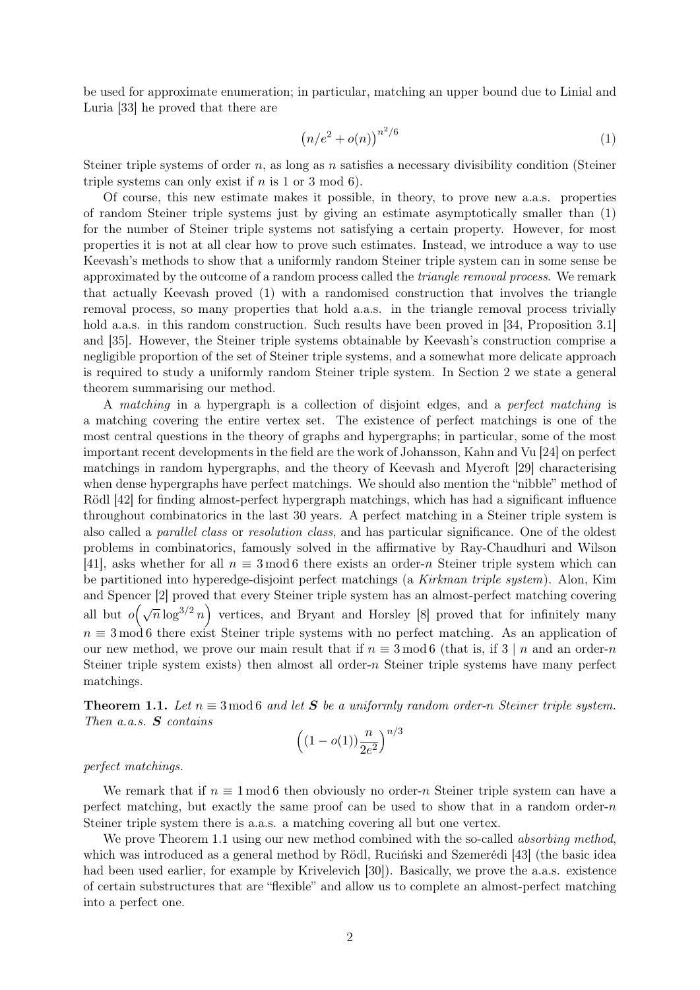be used for approximate enumeration; in particular, matching an upper bound due to Linial and Luria [\[33\]](#page-26-2) he proved that there are

<span id="page-1-0"></span>
$$
\left(n/e^2 + o(n)\right)^{n^2/6} \tag{1}
$$

Steiner triple systems of order  $n$ , as long as  $n$  satisfies a necessary divisibility condition (Steiner triple systems can only exist if  $n$  is 1 or 3 mod 6).

Of course, this new estimate makes it possible, in theory, to prove new a.a.s. properties of random Steiner triple systems just by giving an estimate asymptotically smaller than [\(1\)](#page-1-0) for the number of Steiner triple systems not satisfying a certain property. However, for most properties it is not at all clear how to prove such estimates. Instead, we introduce a way to use Keevash's methods to show that a uniformly random Steiner triple system can in some sense be approximated by the outcome of a random process called the *triangle removal process*. We remark that actually Keevash proved [\(1\)](#page-1-0) with a randomised construction that involves the triangle removal process, so many properties that hold a.a.s. in the triangle removal process trivially hold a.a.s. in this random construction. Such results have been proved in [\[34,](#page-26-3) Proposition 3.1] and [\[35\]](#page-26-4). However, the Steiner triple systems obtainable by Keevash's construction comprise a negligible proportion of the set of Steiner triple systems, and a somewhat more delicate approach is required to study a uniformly random Steiner triple system. In [Section 2](#page-3-0) we state a general theorem summarising our method.

A matching in a hypergraph is a collection of disjoint edges, and a perfect matching is a matching covering the entire vertex set. The existence of perfect matchings is one of the most central questions in the theory of graphs and hypergraphs; in particular, some of the most important recent developments in the field are the work of Johansson, Kahn and Vu [\[24\]](#page-25-6) on perfect matchings in random hypergraphs, and the theory of Keevash and Mycroft [\[29\]](#page-25-7) characterising when dense hypergraphs have perfect matchings. We should also mention the "nibble" method of Rödl [\[42\]](#page-26-5) for finding almost-perfect hypergraph matchings, which has had a significant influence throughout combinatorics in the last 30 years. A perfect matching in a Steiner triple system is also called a parallel class or resolution class, and has particular significance. One of the oldest problems in combinatorics, famously solved in the affirmative by Ray-Chaudhuri and Wilson [\[41\]](#page-26-6), asks whether for all  $n \equiv 3 \mod 6$  there exists an order-n Steiner triple system which can be partitioned into hyperedge-disjoint perfect matchings (a Kirkman triple system). Alon, Kim and Spencer [\[2\]](#page-24-0) proved that every Steiner triple system has an almost-perfect matching covering all but  $o(\sqrt{n}\log^{3/2}n)$  vertices, and Bryant and Horsley [\[8\]](#page-25-8) proved that for infinitely many  $n \equiv 3 \mod 6$  there exist Steiner triple systems with no perfect matching. As an application of our new method, we prove our main result that if  $n \equiv 3 \mod 6$  (that is, if  $3 \mid n$  and an order-n Steiner triple system exists) then almost all order- $n$  Steiner triple systems have many perfect matchings.

<span id="page-1-1"></span>**Theorem 1.1.** Let  $n \equiv 3 \mod 6$  and let **S** be a uniformly random order-n Steiner triple system. Then a.a.s. **S** contains n/<sup>3</sup>

$$
\left((1-o(1))\frac{n}{2e^2}\right)^{n/}
$$

perfect matchings.

We remark that if  $n \equiv 1 \mod 6$  then obviously no order-n Steiner triple system can have a perfect matching, but exactly the same proof can be used to show that in a random order-n Steiner triple system there is a.a.s. a matching covering all but one vertex.

We prove [Theorem 1.1](#page-1-1) using our new method combined with the so-called *absorbing method*, which was introduced as a general method by Rödl, Ruciński and Szemerédi [\[43\]](#page-26-7) (the basic idea had been used earlier, for example by Krivelevich [\[30\]](#page-26-8)). Basically, we prove the a.a.s. existence of certain substructures that are "flexible" and allow us to complete an almost-perfect matching into a perfect one.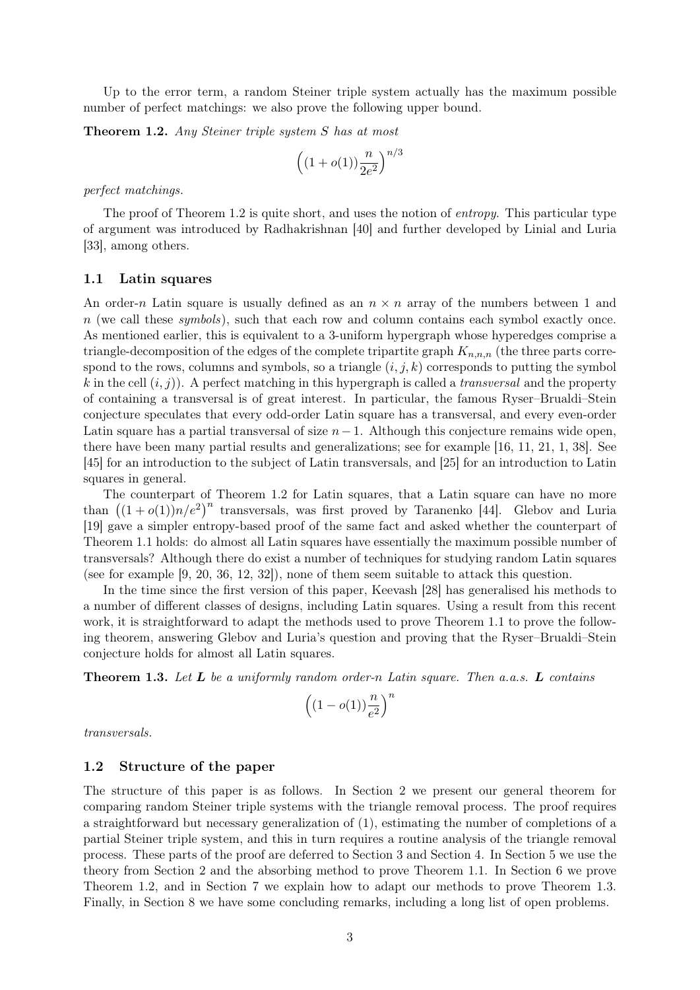Up to the error term, a random Steiner triple system actually has the maximum possible number of perfect matchings: we also prove the following upper bound.

<span id="page-2-0"></span>**Theorem 1.2.** Any Steiner triple system S has at most

$$
\left((1+o(1))\frac{n}{2e^2}\right)^{n/3}
$$

perfect matchings.

The proof of [Theorem 1.2](#page-2-0) is quite short, and uses the notion of *entropy*. This particular type of argument was introduced by Radhakrishnan [\[40\]](#page-26-9) and further developed by Linial and Luria [\[33\]](#page-26-2), among others.

### 1.1 Latin squares

An order-n Latin square is usually defined as an  $n \times n$  array of the numbers between 1 and  $n$  (we call these symbols), such that each row and column contains each symbol exactly once. As mentioned earlier, this is equivalent to a 3-uniform hypergraph whose hyperedges comprise a triangle-decomposition of the edges of the complete tripartite graph  $K_{n,n,n}$  (the three parts correspond to the rows, columns and symbols, so a triangle  $(i, j, k)$  corresponds to putting the symbol k in the cell  $(i, j)$ ). A perfect matching in this hypergraph is called a *transversal* and the property of containing a transversal is of great interest. In particular, the famous Ryser–Brualdi–Stein conjecture speculates that every odd-order Latin square has a transversal, and every even-order Latin square has a partial transversal of size  $n-1$ . Although this conjecture remains wide open, there have been many partial results and generalizations; see for example [\[16,](#page-25-9) [11,](#page-25-10) [21,](#page-25-11) [1,](#page-24-1) [38\]](#page-26-10). See [\[45\]](#page-26-11) for an introduction to the subject of Latin transversals, and [\[25\]](#page-25-12) for an introduction to Latin squares in general.

The counterpart of [Theorem 1.2](#page-2-0) for Latin squares, that a Latin square can have no more than  $((1+o(1))n/e^2)^n$  transversals, was first proved by Taranenko [\[44\]](#page-26-12). Glebov and Luria [\[19\]](#page-25-13) gave a simpler entropy-based proof of the same fact and asked whether the counterpart of [Theorem 1.1](#page-1-1) holds: do almost all Latin squares have essentially the maximum possible number of transversals? Although there do exist a number of techniques for studying random Latin squares (see for example [\[9,](#page-25-14) [20,](#page-25-15) [36,](#page-26-13) [12,](#page-25-16) [32\]](#page-26-14)), none of them seem suitable to attack this question.

In the time since the first version of this paper, Keevash [\[28\]](#page-25-17) has generalised his methods to a number of different classes of designs, including Latin squares. Using a result from this recent work, it is straightforward to adapt the methods used to prove [Theorem 1.1](#page-1-1) to prove the following theorem, answering Glebov and Luria's question and proving that the Ryser–Brualdi–Stein conjecture holds for almost all Latin squares.

<span id="page-2-1"></span>**Theorem 1.3.** Let  $L$  be a uniformly random order-n Latin square. Then a.a.s.  $L$  contains

$$
\left((1-o(1))\frac{n}{e^2}\right)^n
$$

transversals.

### 1.2 Structure of the paper

The structure of this paper is as follows. In [Section 2](#page-3-0) we present our general theorem for comparing random Steiner triple systems with the triangle removal process. The proof requires a straightforward but necessary generalization of [\(1\),](#page-1-0) estimating the number of completions of a partial Steiner triple system, and this in turn requires a routine analysis of the triangle removal process. These parts of the proof are deferred to [Section 3](#page-9-0) and [Section 4.](#page-12-0) In [Section 5](#page-15-0) we use the theory from [Section 2](#page-3-0) and the absorbing method to prove [Theorem 1.1.](#page-1-1) In [Section 6](#page-21-0) we prove [Theorem 1.2,](#page-2-0) and in [Section 7](#page-22-0) we explain how to adapt our methods to prove [Theorem 1.3.](#page-2-1) Finally, in [Section 8](#page-23-0) we have some concluding remarks, including a long list of open problems.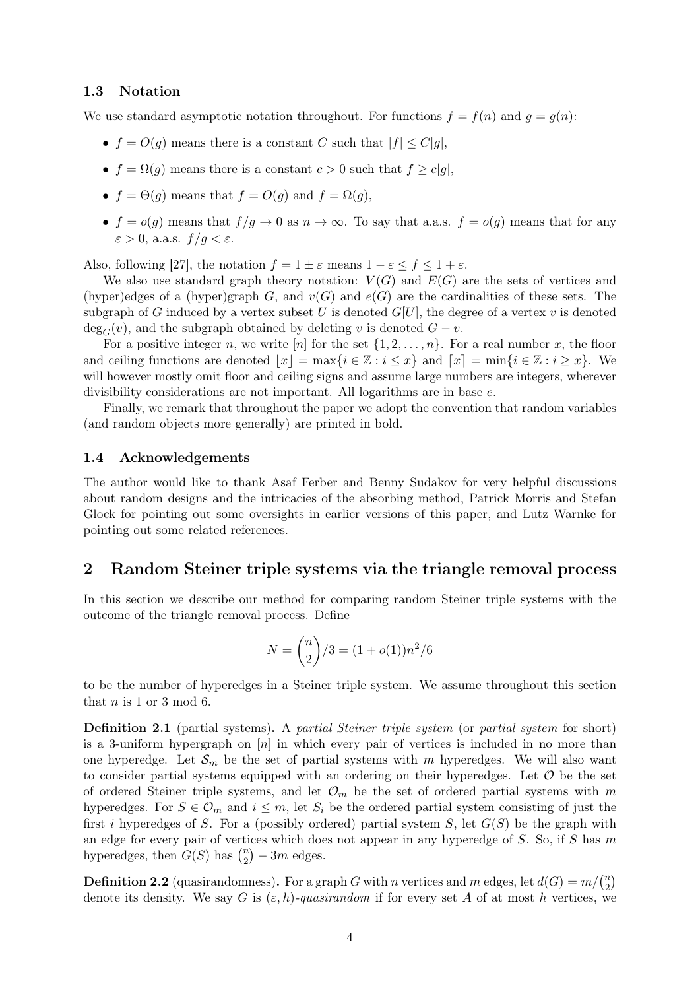### 1.3 Notation

We use standard asymptotic notation throughout. For functions  $f = f(n)$  and  $g = g(n)$ :

- $f = O(g)$  means there is a constant C such that  $|f| \leq C|g|$ ,
- $f = \Omega(g)$  means there is a constant  $c > 0$  such that  $f \ge c|g|$ ,
- $f = \Theta(g)$  means that  $f = O(g)$  and  $f = \Omega(g)$ ,
- $f = o(g)$  means that  $f/g \to 0$  as  $n \to \infty$ . To say that a.a.s.  $f = o(g)$  means that for any  $\varepsilon > 0$ , a.a.s.  $f/q < \varepsilon$ .

Also, following [\[27\]](#page-25-5), the notation  $f = 1 \pm \varepsilon$  means  $1 - \varepsilon \le f \le 1 + \varepsilon$ .

We also use standard graph theory notation:  $V(G)$  and  $E(G)$  are the sets of vertices and (hyper)edges of a (hyper)graph G, and  $v(G)$  and  $e(G)$  are the cardinalities of these sets. The subgraph of G induced by a vertex subset U is denoted  $G[U]$ , the degree of a vertex v is denoted  $\deg_G(v)$ , and the subgraph obtained by deleting v is denoted  $G - v$ .

For a positive integer n, we write [n] for the set  $\{1, 2, \ldots, n\}$ . For a real number x, the floor and ceiling functions are denoted  $|x| = \max\{i \in \mathbb{Z} : i \leq x\}$  and  $[x] = \min\{i \in \mathbb{Z} : i \geq x\}$ . We will however mostly omit floor and ceiling signs and assume large numbers are integers, wherever divisibility considerations are not important. All logarithms are in base e.

Finally, we remark that throughout the paper we adopt the convention that random variables (and random objects more generally) are printed in bold.

### 1.4 Acknowledgements

The author would like to thank Asaf Ferber and Benny Sudakov for very helpful discussions about random designs and the intricacies of the absorbing method, Patrick Morris and Stefan Glock for pointing out some oversights in earlier versions of this paper, and Lutz Warnke for pointing out some related references.

### <span id="page-3-0"></span>2 Random Steiner triple systems via the triangle removal process

In this section we describe our method for comparing random Steiner triple systems with the outcome of the triangle removal process. Define

$$
N = \binom{n}{2}/3 = (1 + o(1))n^2/6
$$

to be the number of hyperedges in a Steiner triple system. We assume throughout this section that  $n$  is 1 or 3 mod 6.

Definition 2.1 (partial systems). A partial Steiner triple system (or partial system for short) is a 3-uniform hypergraph on  $[n]$  in which every pair of vertices is included in no more than one hyperedge. Let  $\mathcal{S}_m$  be the set of partial systems with m hyperedges. We will also want to consider partial systems equipped with an ordering on their hyperedges. Let  $\mathcal O$  be the set of ordered Steiner triple systems, and let  $\mathcal{O}_m$  be the set of ordered partial systems with m hyperedges. For  $S \in \mathcal{O}_m$  and  $i \leq m$ , let  $S_i$  be the ordered partial system consisting of just the first i hyperedges of S. For a (possibly ordered) partial system S, let  $G(S)$  be the graph with an edge for every pair of vertices which does not appear in any hyperedge of  $S$ . So, if  $S$  has  $m$ hyperedges, then  $G(S)$  has  $\binom{n}{2}$  $\binom{n}{2} - 3m$  edges.

**Definition 2.2** (quasirandomness). For a graph G with n vertices and m edges, let  $d(G) = m / {n \choose 2}$  $\binom{n}{2}$ denote its density. We say G is  $(\varepsilon, h)$ -quasirandom if for every set A of at most h vertices, we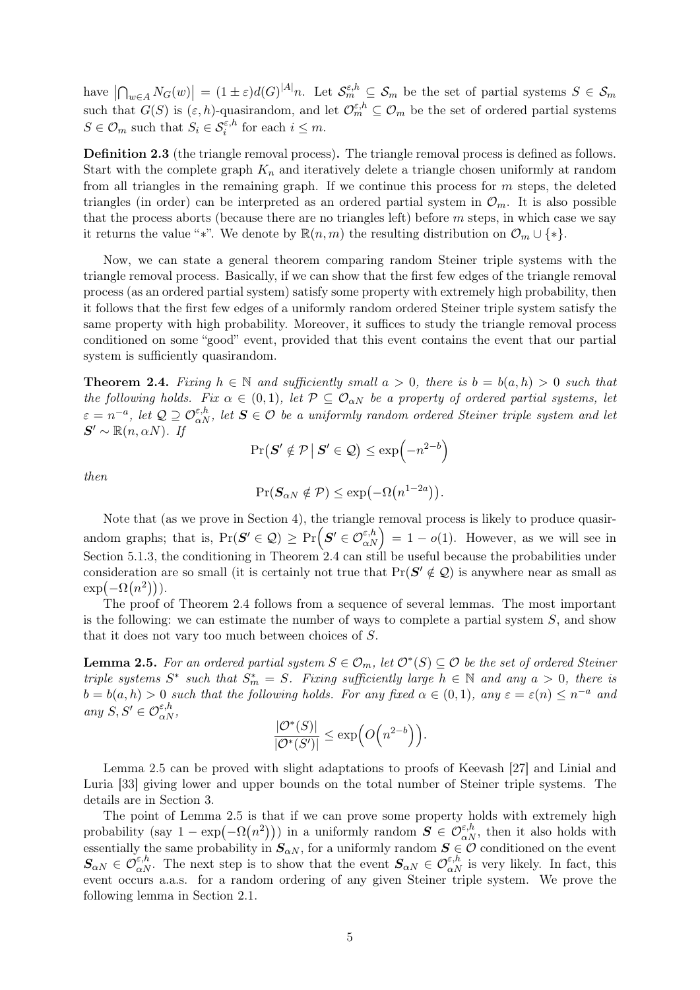have  $\left|\bigcap_{w\in A}N_G(w)\right|=(1\pm\varepsilon)d(G)^{|A|}n$ . Let  $\mathcal{S}_m^{\varepsilon,h}\subseteq\mathcal{S}_m$  be the set of partial systems  $S\in\mathcal{S}_m$ such that  $G(S)$  is  $(\varepsilon, h)$ -quasirandom, and let  $\mathcal{O}_m^{\varepsilon, h} \subseteq \mathcal{O}_m$  be the set of ordered partial systems  $S \in \mathcal{O}_m$  such that  $S_i \in \mathcal{S}_i^{\varepsilon,h}$  for each  $i \leq m$ .

Definition 2.3 (the triangle removal process). The triangle removal process is defined as follows. Start with the complete graph  $K_n$  and iteratively delete a triangle chosen uniformly at random from all triangles in the remaining graph. If we continue this process for  $m$  steps, the deleted triangles (in order) can be interpreted as an ordered partial system in  $\mathcal{O}_m$ . It is also possible that the process aborts (because there are no triangles left) before  $m$  steps, in which case we say it returns the value "∗". We denote by  $\mathbb{R}(n,m)$  the resulting distribution on  $\mathcal{O}_m \cup \{*\}.$ 

Now, we can state a general theorem comparing random Steiner triple systems with the triangle removal process. Basically, if we can show that the first few edges of the triangle removal process (as an ordered partial system) satisfy some property with extremely high probability, then it follows that the first few edges of a uniformly random ordered Steiner triple system satisfy the same property with high probability. Moreover, it suffices to study the triangle removal process conditioned on some "good" event, provided that this event contains the event that our partial system is sufficiently quasirandom.

<span id="page-4-0"></span>**Theorem 2.4.** Fixing  $h \in \mathbb{N}$  and sufficiently small  $a > 0$ , there is  $b = b(a, h) > 0$  such that the following holds. Fix  $\alpha \in (0,1)$ , let  $\mathcal{P} \subseteq \mathcal{O}_{\alpha N}$  be a property of ordered partial systems, let  $\varepsilon = n^{-a}$ , let  $\mathcal{Q} \supseteq \mathcal{O}_{\alpha N}^{\varepsilon,h}$ , let  $\mathbf{S} \in \mathcal{O}$  be a uniformly random ordered Steiner triple system and let  $S' \sim \mathbb{R}(n, \alpha N)$ . If

$$
\Pr(S' \notin \mathcal{P} \mid S' \in \mathcal{Q}) \le \exp\left(-n^{2-b}\right)
$$

then

$$
\Pr(\mathbf{S}_{\alpha N} \notin \mathcal{P}) \le \exp(-\Omega(n^{1-2a})).
$$

Note that (as we prove in [Section 4\)](#page-12-0), the triangle removal process is likely to produce quasirandom graphs; that is,  $Pr(S' \in \mathcal{Q}) \ge Pr(S' \in \mathcal{O}_{\alpha N}^{\varepsilon,h}) = 1 - o(1)$ . However, as we will see in [Section 5.1.3,](#page-19-0) the conditioning in [Theorem 2.4](#page-4-0) can still be useful because the probabilities under consideration are so small (it is certainly not true that  $Pr(S' \notin Q)$  is anywhere near as small as  $\exp(-\Omega(n^2))).$ 

The proof of [Theorem 2.4](#page-4-0) follows from a sequence of several lemmas. The most important is the following: we can estimate the number of ways to complete a partial system  $S$ , and show that it does not vary too much between choices of S.

<span id="page-4-1"></span>**Lemma 2.5.** For an ordered partial system  $S \in \mathcal{O}_m$ , let  $\mathcal{O}^*(S) \subseteq \mathcal{O}$  be the set of ordered Steiner triple systems  $S^*$  such that  $S_m^* = S$ . Fixing sufficiently large  $h \in \mathbb{N}$  and any  $a > 0$ , there is  $b = b(a, h) > 0$  such that the following holds. For any fixed  $\alpha \in (0, 1)$ , any  $\varepsilon = \varepsilon(n) \leq n^{-a}$  and any  $S, S' \in \mathcal{O}_{\alpha N}^{\varepsilon,h}$ ,

$$
\frac{|\mathcal{O}^*(S)|}{|\mathcal{O}^*(S')|} \le \exp\Big(O\Big(n^{2-b}\Big)\Big).
$$

[Lemma 2.5](#page-4-1) can be proved with slight adaptations to proofs of Keevash [\[27\]](#page-25-5) and Linial and Luria [\[33\]](#page-26-2) giving lower and upper bounds on the total number of Steiner triple systems. The details are in [Section 3.](#page-9-0)

<span id="page-4-2"></span>The point of [Lemma 2.5](#page-4-1) is that if we can prove some property holds with extremely high probability (say  $1 - \exp(-\Omega(n^2))$ ) in a uniformly random  $S \in \mathcal{O}_{\alpha N}^{\varepsilon,h}$ , then it also holds with essentially the same probability in  $S_{\alpha N}$ , for a uniformly random  $S \in \mathcal{O}$  conditioned on the event  $S_{\alpha N} \in \mathcal{O}_{\alpha N}^{\varepsilon,h}$ . The next step is to show that the event  $S_{\alpha N} \in \mathcal{O}_{\alpha N}^{\varepsilon,h}$  is very likely. In fact, this event occurs a.a.s. for a random ordering of any given Steiner triple system. We prove the following lemma in [Section 2.1.](#page-6-0)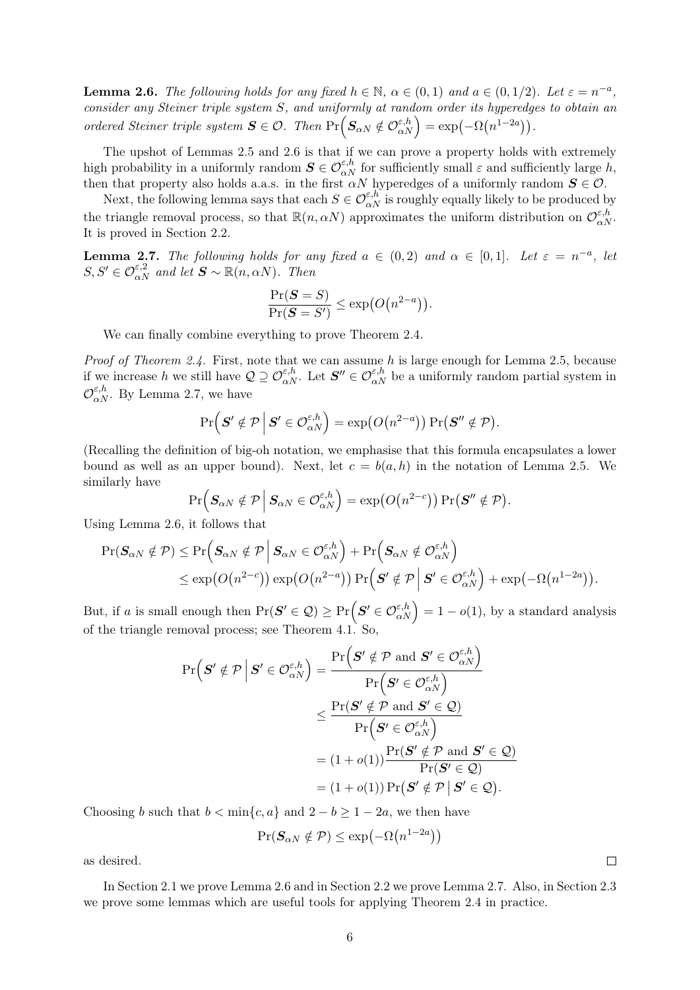**Lemma 2.6.** The following holds for any fixed  $h \in \mathbb{N}$ ,  $\alpha \in (0,1)$  and  $a \in (0,1/2)$ . Let  $\varepsilon = n^{-a}$ , consider any Steiner triple system S, and uniformly at random order its hyperedges to obtain an ordered Steiner triple system  $S \in \mathcal{O}$ . Then  $Pr(S_{\alpha N} \notin \mathcal{O}_{\alpha N}^{\epsilon,h}) = exp(-\Omega(n^{1-2\alpha}))$ .

The upshot of [Lemmas 2.5](#page-4-1) and [2.6](#page-4-2) is that if we can prove a property holds with extremely high probability in a uniformly random  $S \in \mathcal{O}_{\alpha N}^{\varepsilon,h}$  for sufficiently small  $\varepsilon$  and sufficiently large h, then that property also holds a.a.s. in the first  $\alpha N$  hyperedges of a uniformly random  $S \in \mathcal{O}$ .

Next, the following lemma says that each  $S \in \mathcal{O}_{\alpha N}^{\varepsilon,h}$  is roughly equally likely to be produced by the triangle removal process, so that  $\mathbb{R}(n, \alpha N)$  approximates the uniform distribution on  $\mathcal{O}_{\alpha N}^{\varepsilon, h}$ . It is proved in [Section 2.2.](#page-6-1)

<span id="page-5-0"></span>**Lemma 2.7.** The following holds for any fixed  $a \in (0,2)$  and  $\alpha \in [0,1]$ . Let  $\varepsilon = n^{-a}$ , let  $S, S' \in \mathcal{O}_{\alpha N}^{\varepsilon, 2}$  and let  $\mathbf{S} \sim \mathbb{R}(n, \alpha N)$ . Then

$$
\frac{\Pr(\boldsymbol{S} = S)}{\Pr(\boldsymbol{S} = S')} \le \exp(O(n^{2-a})).
$$

We can finally combine everything to prove [Theorem 2.4.](#page-4-0)

*Proof of [Theorem 2.4.](#page-4-0)* First, note that we can assume h is large enough for [Lemma 2.5,](#page-4-1) because if we increase h we still have  $\mathcal{Q} \supseteq \mathcal{O}_{\alpha N}^{\varepsilon, h}$ . Let  $\mathcal{S}'' \in \mathcal{O}_{\alpha N}^{\varepsilon, h}$  be a uniformly random partial system in  $\mathcal{O}_{\alpha N}^{\varepsilon,h}$ . By [Lemma 2.7,](#page-5-0) we have

$$
\Pr\left(\mathbf{S}' \notin \mathcal{P} \, \middle| \, \mathbf{S}' \in \mathcal{O}_{\alpha N}^{\varepsilon,h}\right) = \exp\bigl(O\bigl(n^{2-a}\bigr)\bigr) \Pr\bigl(\mathbf{S}'' \notin \mathcal{P}\bigr).
$$

(Recalling the definition of big-oh notation, we emphasise that this formula encapsulates a lower bound as well as an upper bound). Next, let  $c = b(a, h)$  in the notation of [Lemma 2.5.](#page-4-1) We similarly have

$$
\Pr\Big(\boldsymbol{S}_{\alpha N} \notin \mathcal{P} \,\Big|\, \boldsymbol{S}_{\alpha N} \in \mathcal{O}^{\varepsilon,h}_{\alpha N}\Big) = \exp\bigl(O\bigl(n^{2-c}\bigr)\bigr) \Pr\bigl(\boldsymbol{S}'' \notin \mathcal{P}\bigr).
$$

Using [Lemma 2.6,](#page-4-2) it follows that

$$
\begin{aligned} \Pr(\boldsymbol{S}_{\alpha N} \notin \mathcal{P}) \leq \Pr\Big(\boldsymbol{S}_{\alpha N} \notin \mathcal{P} \,\Big|\, \boldsymbol{S}_{\alpha N} \in \mathcal{O}_{\alpha N}^{\varepsilon,h}\Big) + \Pr\Big(\boldsymbol{S}_{\alpha N} \notin \mathcal{O}_{\alpha N}^{\varepsilon,h}\Big) \\ \leq \exp(O(n^{2-c})) \exp(O(n^{2-a})) \Pr\Big(\boldsymbol{S}^{\prime} \notin \mathcal{P} \,\Big|\, \boldsymbol{S}^{\prime} \in \mathcal{O}_{\alpha N}^{\varepsilon,h}\Big) + \exp(-\Omega(n^{1-2a})). \end{aligned}
$$

But, if a is small enough then  $Pr(S' \in \mathcal{Q}) \geq Pr(S' \in \mathcal{O}_{\alpha N}^{\varepsilon,h}) = 1 - o(1)$ , by a standard analysis of the triangle removal process; see [Theorem 4.1.](#page-13-0) So,

$$
\Pr\left(\mathbf{S}' \notin \mathcal{P} \mid \mathbf{S}' \in \mathcal{O}_{\alpha N}^{\varepsilon,h}\right) = \frac{\Pr\left(\mathbf{S}' \notin \mathcal{P} \text{ and } \mathbf{S}' \in \mathcal{O}_{\alpha N}^{\varepsilon,h}\right)}{\Pr\left(\mathbf{S}' \in \mathcal{O}_{\alpha N}^{\varepsilon,h}\right)} \\
\leq \frac{\Pr(\mathbf{S}' \notin \mathcal{P} \text{ and } \mathbf{S}' \in \mathcal{Q})}{\Pr\left(\mathbf{S}' \in \mathcal{O}_{\alpha N}^{\varepsilon,h}\right)} \\
= (1+o(1))\frac{\Pr(\mathbf{S}' \notin \mathcal{P} \text{ and } \mathbf{S}' \in \mathcal{Q})}{\Pr(\mathbf{S}' \in \mathcal{Q})} \\
= (1+o(1))\Pr(\mathbf{S}' \notin \mathcal{P} \mid \mathbf{S}' \in \mathcal{Q}).
$$

Choosing b such that  $b < \min\{c, a\}$  and  $2 - b \geq 1 - 2a$ , we then have

$$
\Pr(\mathbf{S}_{\alpha N} \notin \mathcal{P}) \le \exp\left(-\Omega(n^{1-2a})\right)
$$

as desired.

In [Section 2.1](#page-6-0) we prove [Lemma 2.6](#page-4-2) and in [Section 2.2](#page-6-1) we prove [Lemma 2.7.](#page-5-0) Also, in [Section 2.3](#page-7-0) we prove some lemmas which are useful tools for applying [Theorem 2.4](#page-4-0) in practice.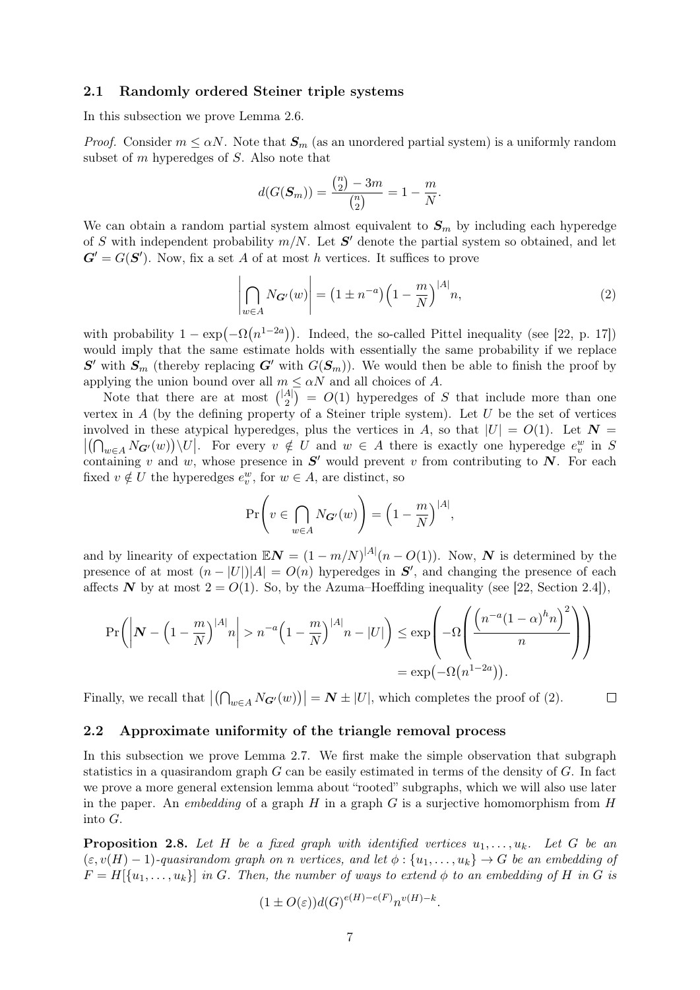#### <span id="page-6-0"></span>2.1 Randomly ordered Steiner triple systems

In this subsection we prove [Lemma 2.6.](#page-4-2)

*Proof.* Consider  $m \leq \alpha N$ . Note that  $S_m$  (as an unordered partial system) is a uniformly random subset of m hyperedges of S. Also note that

<span id="page-6-2"></span>
$$
d(G(\mathbf{S}_m)) = \frac{\binom{n}{2} - 3m}{\binom{n}{2}} = 1 - \frac{m}{N}.
$$

We can obtain a random partial system almost equivalent to  $S_m$  by including each hyperedge of S with independent probability  $m/N$ . Let S' denote the partial system so obtained, and let  $G' = G(S')$ . Now, fix a set A of at most h vertices. It suffices to prove

$$
\left| \bigcap_{w \in A} N_{\mathbf{G}'}(w) \right| = \left( 1 \pm n^{-a} \right) \left( 1 - \frac{m}{N} \right)^{|A|} n,
$$
\n(2)

with probability  $1 - \exp(-\Omega(n^{1-2a}))$ . Indeed, the so-called Pittel inequality (see [\[22,](#page-25-18) p. 17]) would imply that the same estimate holds with essentially the same probability if we replace  $S'$  with  $S_m$  (thereby replacing  $G'$  with  $G(S_m)$ ). We would then be able to finish the proof by applying the union bound over all  $m \leq \alpha N$  and all choices of A.

Note that there are at most  $\binom{|A|}{2}$  $\binom{A}{2}$  =  $O(1)$  hyperedges of S that include more than one vertex in  $A$  (by the defining property of a Steiner triple system). Let  $U$  be the set of vertices involved in these atypical hyperedges, plus the vertices in A, so that  $|U| = O(1)$ . Let  $N =$  $|(\bigcap_{w\in A}N_{\mathbf{G}'}(w))\setminus U|$ . For every  $v \notin U$  and  $w \in A$  there is exactly one hyperedge  $e_v^w$  in S containing v and w, whose presence in  $S'$  would prevent v from contributing to  $N$ . For each fixed  $v \notin U$  the hyperedges  $e_v^w$ , for  $w \in A$ , are distinct, so

$$
\Pr\left(v \in \bigcap_{w \in A} N_{\mathbf{G}'}(w)\right) = \left(1 - \frac{m}{N}\right)^{|A|},\,
$$

and by linearity of expectation  $\mathbb{E}N = (1 - m/N)^{|A|}(n - O(1))$ . Now, N is determined by the presence of at most  $(n-|U|)|A| = O(n)$  hyperedges in  $S'$ , and changing the presence of each affects N by at most  $2 = O(1)$ . So, by the Azuma–Hoeffding inequality (see [\[22,](#page-25-18) Section 2.4]),

$$
\Pr\left(\left|\mathbf{N} - \left(1 - \frac{m}{N}\right)^{|A|} n\right| > n^{-a} \left(1 - \frac{m}{N}\right)^{|A|} n - |U|\right) \le \exp\left(-\Omega \left(\frac{\left(n^{-a}(1-\alpha)^h n\right)^2}{n}\right)\right)
$$
\n
$$
= \exp\left(-\Omega \left(n^{1-2a}\right)\right).
$$

Finally, we recall that  $|(\bigcap_{w \in A} N_{G'}(w))| = N \pm |U|$ , which completes the proof of [\(2\).](#page-6-2)  $\Box$ 

#### <span id="page-6-1"></span>2.2 Approximate uniformity of the triangle removal process

In this subsection we prove [Lemma 2.7.](#page-5-0) We first make the simple observation that subgraph statistics in a quasirandom graph  $G$  can be easily estimated in terms of the density of  $G$ . In fact we prove a more general extension lemma about "rooted" subgraphs, which we will also use later in the paper. An embedding of a graph H in a graph  $G$  is a surjective homomorphism from H into G.

<span id="page-6-3"></span>**Proposition 2.8.** Let H be a fixed graph with identified vertices  $u_1, \ldots, u_k$ . Let G be an  $(\varepsilon, v(H) - 1)$ -quasirandom graph on n vertices, and let  $\phi : \{u_1, \ldots, u_k\} \to G$  be an embedding of  $F = H[{u_1, \ldots, u_k}]$  in G. Then, the number of ways to extend  $\phi$  to an embedding of H in G is

$$
(1 \pm O(\varepsilon))d(G)^{e(H)-e(F)}n^{v(H)-k}.
$$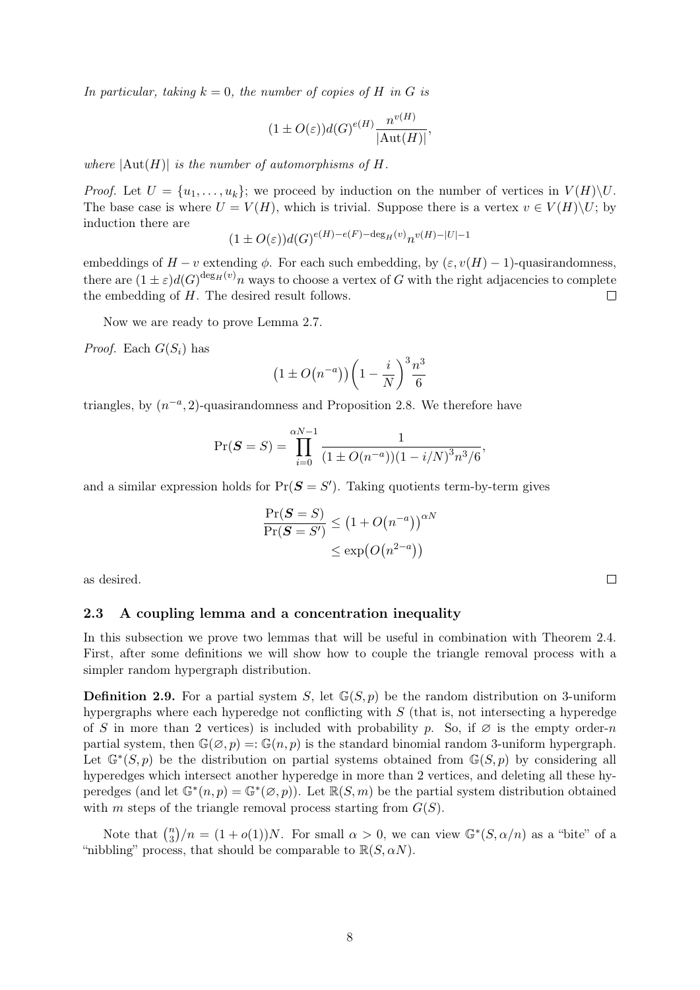In particular, taking  $k = 0$ , the number of copies of H in G is

$$
(1 \pm O(\varepsilon))d(G)^{e(H)}\frac{n^{v(H)}}{|\text{Aut}(H)|},
$$

where  $|\text{Aut}(H)|$  is the number of automorphisms of H.

*Proof.* Let  $U = \{u_1, \ldots, u_k\}$ ; we proceed by induction on the number of vertices in  $V(H)\backslash U$ . The base case is where  $U = V(H)$ , which is trivial. Suppose there is a vertex  $v \in V(H) \backslash U$ ; by induction there are

$$
(1 \pm O(\varepsilon))d(G)^{e(H)-e(F)-\deg_H(v)}n^{v(H)-|U|-1}
$$

embeddings of  $H - v$  extending  $\phi$ . For each such embedding, by  $(\varepsilon, v(H) - 1)$ -quasirandomness, there are  $(1 \pm \varepsilon)d(G)^{\deg_H(v)}n$  ways to choose a vertex of G with the right adjacencies to complete the embedding of  $H$ . The desired result follows.  $\Box$ 

Now we are ready to prove [Lemma 2.7.](#page-5-0)

*Proof.* Each  $G(S_i)$  has

$$
\left(1 \pm O\!\left(n^{-a}\right)\right) \left(1 - \frac{i}{N}\right)^3 \frac{n^3}{6}
$$

triangles, by  $(n^{-a}, 2)$ -quasirandomness and [Proposition 2.8.](#page-6-3) We therefore have

$$
\Pr(\boldsymbol{S}=S) = \prod_{i=0}^{\alpha N-1} \frac{1}{(1 \pm O(n^{-a}))(1 - i/N)^3 n^3/6},
$$

and a similar expression holds for  $Pr(S = S')$ . Taking quotients term-by-term gives

$$
\frac{\Pr(\mathbf{S} = S)}{\Pr(\mathbf{S} = S')} \le (1 + O(n^{-a}))^{\alpha N}
$$
  

$$
\le \exp(O(n^{2-a}))
$$

as desired.

#### <span id="page-7-0"></span>2.3 A coupling lemma and a concentration inequality

In this subsection we prove two lemmas that will be useful in combination with [Theorem 2.4.](#page-4-0) First, after some definitions we will show how to couple the triangle removal process with a simpler random hypergraph distribution.

**Definition 2.9.** For a partial system S, let  $\mathbb{G}(S, p)$  be the random distribution on 3-uniform hypergraphs where each hyperedge not conflicting with  $S$  (that is, not intersecting a hyperedge of S in more than 2 vertices) is included with probability p. So, if  $\varnothing$  is the empty order-n partial system, then  $\mathbb{G}(\emptyset, p) = \mathbb{G}(n, p)$  is the standard binomial random 3-uniform hypergraph. Let  $\mathbb{G}^*(S,p)$  be the distribution on partial systems obtained from  $\mathbb{G}(S,p)$  by considering all hyperedges which intersect another hyperedge in more than 2 vertices, and deleting all these hyperedges (and let  $\mathbb{G}^*(n, p) = \mathbb{G}^*(\varnothing, p)$ ). Let  $\mathbb{R}(S,m)$  be the partial system distribution obtained with m steps of the triangle removal process starting from  $G(S)$ .

<span id="page-7-1"></span>Note that  $\binom{n}{3}$  $\binom{n}{3}/n = (1+o(1))N$ . For small  $\alpha > 0$ , we can view  $\mathbb{G}^*(S, \alpha/n)$  as a "bite" of a "nibbling" process, that should be comparable to  $\mathbb{R}(S, \alpha N)$ .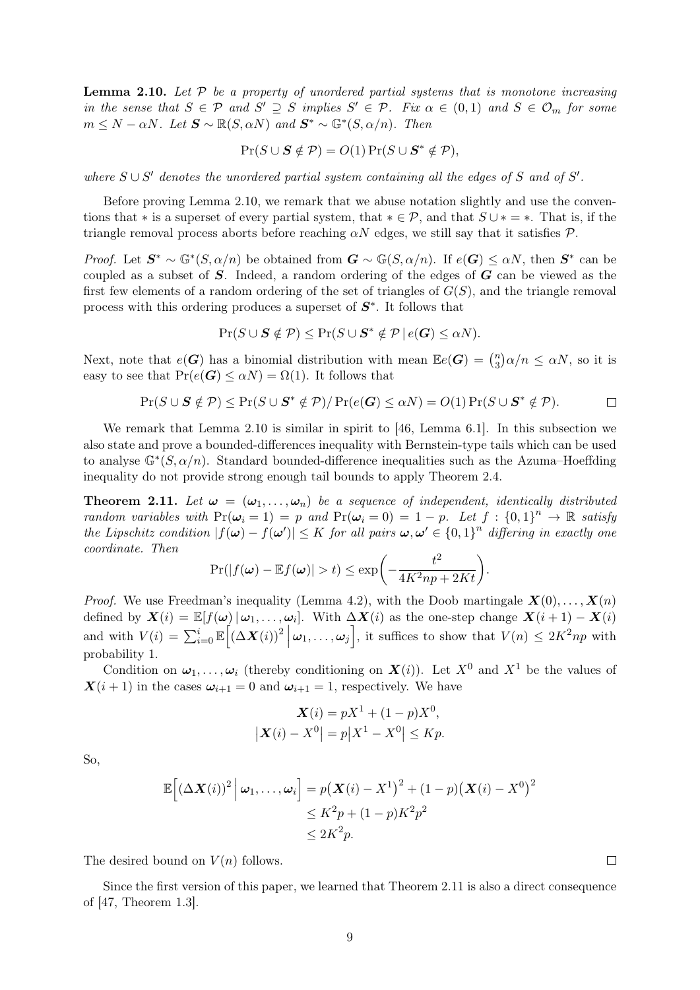**Lemma 2.10.** Let  $P$  be a property of unordered partial systems that is monotone increasing in the sense that  $S \in \mathcal{P}$  and  $S' \supseteq S$  implies  $S' \in \mathcal{P}$ . Fix  $\alpha \in (0,1)$  and  $S \in \mathcal{O}_m$  for some  $m \leq N - \alpha N$ . Let  $\mathbf{S} \sim \mathbb{R}(S, \alpha N)$  and  $\mathbf{S}^* \sim \mathbb{G}^*(S, \alpha/n)$ . Then

$$
Pr(S \cup S \notin \mathcal{P}) = O(1) Pr(S \cup S^* \notin \mathcal{P}),
$$

where  $S \cup S'$  denotes the unordered partial system containing all the edges of S and of S'.

Before proving [Lemma 2.10,](#page-7-1) we remark that we abuse notation slightly and use the conventions that \* is a superset of every partial system, that  $* \in \mathcal{P}$ , and that  $S \cup * = *$ . That is, if the triangle removal process aborts before reaching  $\alpha N$  edges, we still say that it satisfies  $\mathcal{P}$ .

*Proof.* Let  $S^* \sim \mathbb{G}^*(S, \alpha/n)$  be obtained from  $G \sim \mathbb{G}(S, \alpha/n)$ . If  $e(G) \leq \alpha N$ , then  $S^*$  can be coupled as a subset of  $S$ . Indeed, a random ordering of the edges of  $G$  can be viewed as the first few elements of a random ordering of the set of triangles of  $G(S)$ , and the triangle removal process with this ordering produces a superset of  $S^*$ . It follows that

$$
\Pr(S \cup S \notin \mathcal{P}) \le \Pr(S \cup S^* \notin \mathcal{P} \mid e(G) \le \alpha N).
$$

Next, note that  $e(G)$  has a binomial distribution with mean  $\mathbb{E}e(G) = \binom{n}{3}$  $\binom{n}{3}\alpha/n \leq \alpha N$ , so it is easy to see that  $Pr(e(G) \leq \alpha N) = \Omega(1)$ . It follows that

$$
\Pr(S \cup S \notin \mathcal{P}) \le \Pr(S \cup S^* \notin \mathcal{P}) / \Pr(e(G) \le \alpha N) = O(1) \Pr(S \cup S^* \notin \mathcal{P}). \Box
$$

We remark that [Lemma 2.10](#page-7-1) is similar in spirit to [\[46,](#page-26-15) Lemma 6.1]. In this subsection we also state and prove a bounded-differences inequality with Bernstein-type tails which can be used to analyse  $\mathbb{G}^*(S, \alpha/n)$ . Standard bounded-difference inequalities such as the Azuma–Hoeffding inequality do not provide strong enough tail bounds to apply [Theorem 2.4.](#page-4-0)

<span id="page-8-0"></span>**Theorem 2.11.** Let  $\omega = (\omega_1, \ldots, \omega_n)$  be a sequence of independent, identically distributed random variables with  $Pr(\omega_i = 1) = p$  and  $Pr(\omega_i = 0) = 1 - p$ . Let  $f : \{0, 1\}^n \to \mathbb{R}$  satisfy the Lipschitz condition  $|f(\boldsymbol{\omega}) - f(\boldsymbol{\omega}')| \leq K$  for all pairs  $\boldsymbol{\omega}, \boldsymbol{\omega}' \in \{0,1\}^n$  differing in exactly one coordinate. Then

$$
\Pr(|f(\boldsymbol{\omega}) - \mathbb{E}f(\boldsymbol{\omega})| > t) \le \exp\biggl(-\frac{t^2}{4K^2np + 2Kt}\biggr).
$$

*Proof.* We use Freedman's inequality [\(Lemma 4.2\)](#page-13-1), with the Doob martingale  $\mathbf{X}(0), \ldots, \mathbf{X}(n)$ defined by  $\mathbf{X}(i) = \mathbb{E}[f(\boldsymbol{\omega}) | \boldsymbol{\omega}_1, \dots, \boldsymbol{\omega}_i]$ . With  $\Delta \mathbf{X}(i)$  as the one-step change  $\mathbf{X}(i+1) - \mathbf{X}(i)$ and with  $V(i) = \sum_{i=0}^{i} \mathbb{E} \left[ (\Delta \mathbf{X}(i))^2 \, \middle| \, \boldsymbol{\omega}_1, \dots, \boldsymbol{\omega}_j \right]$ , it suffices to show that  $V(n) \leq 2K^2np$  with probability 1.

Condition on  $\omega_1, \ldots, \omega_i$  (thereby conditioning on  $\mathbf{X}(i)$ ). Let  $X^0$  and  $X^1$  be the values of  $\mathbf{X}(i+1)$  in the cases  $\boldsymbol{\omega}_{i+1} = 0$  and  $\boldsymbol{\omega}_{i+1} = 1$ , respectively. We have

$$
\mathbf{X}(i) = pX^1 + (1 - p)X^0,
$$
  

$$
|\mathbf{X}(i) - X^0| = p|X^1 - X^0| \le Kp.
$$

So,

$$
\mathbb{E}\Big[(\Delta \mathbf{X}(i))^2 \Big| \boldsymbol{\omega}_1, \dots, \boldsymbol{\omega}_i\Big] = p(\mathbf{X}(i) - X^1)^2 + (1 - p)(\mathbf{X}(i) - X^0)^2
$$
  
\n
$$
\leq K^2 p + (1 - p)K^2 p^2
$$
  
\n
$$
\leq 2K^2 p.
$$

The desired bound on  $V(n)$  follows.

Since the first version of this paper, we learned that [Theorem 2.11](#page-8-0) is also a direct consequence of [\[47,](#page-26-16) Theorem 1.3].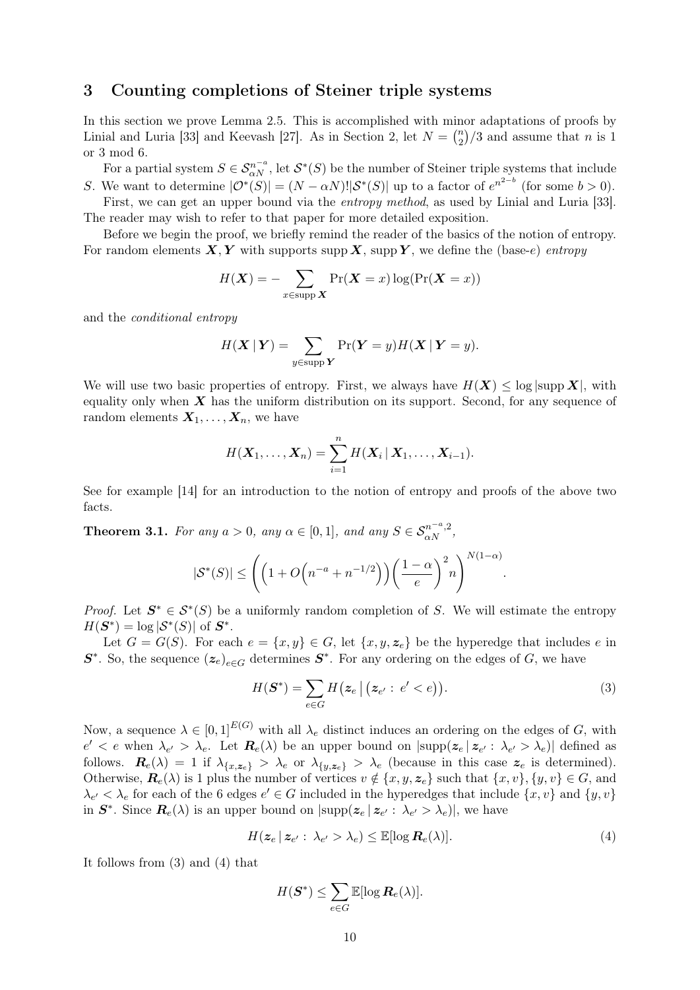### <span id="page-9-0"></span>3 Counting completions of Steiner triple systems

In this section we prove [Lemma 2.5.](#page-4-1) This is accomplished with minor adaptations of proofs by Linial and Luria [\[33\]](#page-26-2) and Keevash [\[27\]](#page-25-5). As in [Section 2,](#page-3-0) let  $N = \binom{n}{2}$  $\binom{n}{2}/3$  and assume that *n* is 1 or 3 mod 6.

For a partial system  $S \in \mathcal{S}_{\alpha N}^{n-a}$ , let  $\mathcal{S}^*(S)$  be the number of Steiner triple systems that include S. We want to determine  $|\mathcal{O}^*(S)| = (N - \alpha N)! |\mathcal{S}^*(S)|$  up to a factor of  $e^{n^{2-b}}$  (for some  $b > 0$ ). First, we can get an upper bound via the entropy method, as used by Linial and Luria [\[33\]](#page-26-2).

The reader may wish to refer to that paper for more detailed exposition. Before we begin the proof, we briefly remind the reader of the basics of the notion of entropy.

For random elements  $X, Y$  with supports supp  $X$ , supp  $Y$ , we define the (base-e) entropy

$$
H(\boldsymbol{X}) = -\sum_{x \in \text{supp }\boldsymbol{X}} \Pr(\boldsymbol{X} = x) \log(\Pr(\boldsymbol{X} = x))
$$

and the conditional entropy

$$
H(\boldsymbol{X} \mid \boldsymbol{Y}) = \sum_{y \in \text{supp } \boldsymbol{Y}} \Pr(\boldsymbol{Y} = y) H(\boldsymbol{X} \mid \boldsymbol{Y} = y).
$$

We will use two basic properties of entropy. First, we always have  $H(\mathbf{X}) \leq \log |\text{supp }\mathbf{X}|$ , with equality only when  $\boldsymbol{X}$  has the uniform distribution on its support. Second, for any sequence of random elements  $X_1, \ldots, X_n$ , we have

$$
H(\boldsymbol{X}_1,\ldots,\boldsymbol{X}_n)=\sum_{i=1}^n H(\boldsymbol{X}_i\,|\,\boldsymbol{X}_1,\ldots,\boldsymbol{X}_{i-1}).
$$

See for example [\[14\]](#page-25-19) for an introduction to the notion of entropy and proofs of the above two facts.

<span id="page-9-3"></span>**Theorem 3.1.** For any  $a > 0$ , any  $\alpha \in [0, 1]$ , and any  $S \in S_{\alpha N}^{n^{-\alpha}, 2}$ ,

$$
|\mathcal{S}^*(S)| \le \left( \left( 1 + O\left( n^{-a} + n^{-1/2} \right) \right) \left( \frac{1 - \alpha}{e} \right)^2 n \right)^{N(1 - \alpha)}.
$$

*Proof.* Let  $S^* \in S^*(S)$  be a uniformly random completion of S. We will estimate the entropy  $H(\mathbf{S}^*) = \log |\mathcal{S}^*(S)|$  of  $\mathbf{S}^*$ .

Let  $G = G(S)$ . For each  $e = \{x, y\} \in G$ , let  $\{x, y, z_e\}$  be the hyperedge that includes e in  $S^*$ . So, the sequence  $(z_e)_{e \in G}$  determines  $S^*$ . For any ordering on the edges of G, we have

<span id="page-9-1"></span>
$$
H(\mathbf{S}^*) = \sum_{e \in G} H\big(\mathbf{z}_e \mid \big(\mathbf{z}_{e'} : e' < e\big)\big). \tag{3}
$$

Now, a sequence  $\lambda \in [0,1]^{E(G)}$  with all  $\lambda_e$  distinct induces an ordering on the edges of G, with  $e' < e$  when  $\lambda_{e'} > \lambda_e$ . Let  $\mathbf{R}_e(\lambda)$  be an upper bound on  $|\text{supp}(\mathbf{z}_e | \mathbf{z}_{e'} : \lambda_{e'} > \lambda_e)|$  defined as follows.  $\mathbf{R}_{e}(\lambda) = 1$  if  $\lambda_{\{x, z_e\}} > \lambda_e$  or  $\lambda_{\{y, z_e\}} > \lambda_e$  (because in this case  $z_e$  is determined). Otherwise,  $\mathbf{R}_e(\lambda)$  is 1 plus the number of vertices  $v \notin \{x, y, z_e\}$  such that  $\{x, v\}, \{y, v\} \in G$ , and  $\lambda_{e'} < \lambda_e$  for each of the 6 edges  $e' \in G$  included in the hyperedges that include  $\{x, v\}$  and  $\{y, v\}$ in  $S^*$ . Since  $\mathbf{R}_e(\lambda)$  is an upper bound on  $|\text{supp}(\boldsymbol{z}_e | \boldsymbol{z}_{e'} : \lambda_{e'} > \lambda_e)|$ , we have

<span id="page-9-2"></span>
$$
H(\mathbf{z}_e \,|\, \mathbf{z}_{e'}: \,\lambda_{e'} > \lambda_e) \leq \mathbb{E}[\log \mathbf{R}_e(\lambda)].\tag{4}
$$

It follows from [\(3\)](#page-9-1) and [\(4\)](#page-9-2) that

$$
H(\boldsymbol{S}^*) \leq \sum_{e \in G} \mathbb{E}[\log \boldsymbol{R}_e(\lambda)].
$$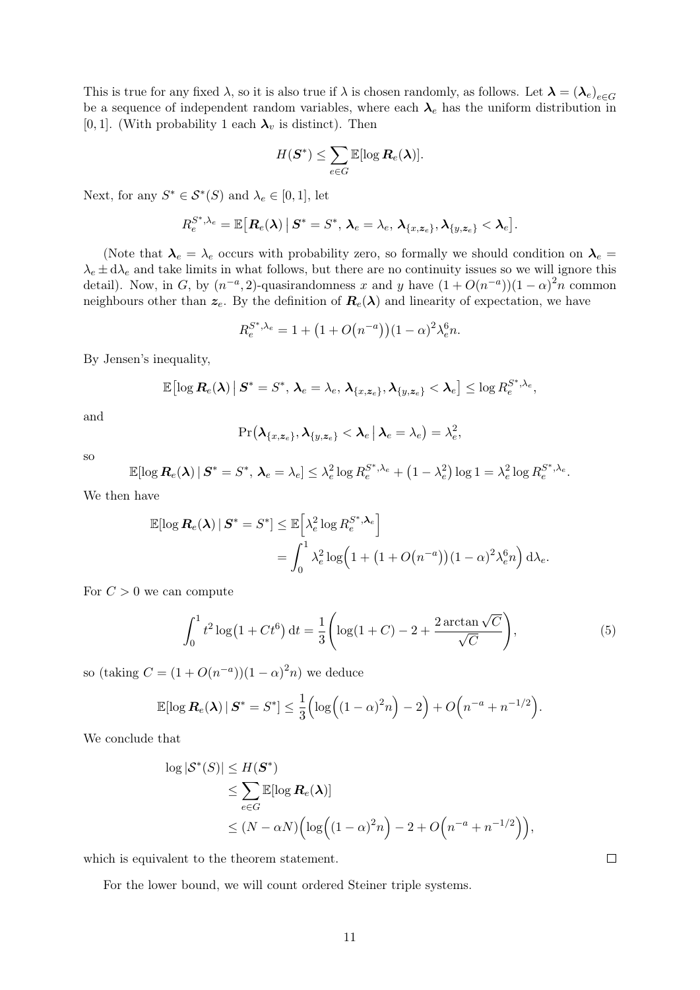This is true for any fixed  $\lambda$ , so it is also true if  $\lambda$  is chosen randomly, as follows. Let  $\lambda = (\lambda_e)_{e \in G}$ be a sequence of independent random variables, where each  $\lambda_e$  has the uniform distribution in [0, 1]. (With probability 1 each  $\lambda_v$  is distinct). Then

$$
H(\boldsymbol{S}^*) \leq \sum_{e \in G} \mathbb{E}[\log \boldsymbol{R}_e(\boldsymbol{\lambda})].
$$

Next, for any  $S^* \in \mathcal{S}^*(S)$  and  $\lambda_e \in [0,1]$ , let

$$
R_e^{S^*,\lambda_e} = \mathbb{E}\big[\boldsymbol{R}_e(\boldsymbol{\lambda})\,\big|\, \boldsymbol{S}^* = S^*,\, \boldsymbol{\lambda}_e = \lambda_e,\, \boldsymbol{\lambda}_{\{x,\boldsymbol{z}_e\}}, \boldsymbol{\lambda}_{\{y,\boldsymbol{z}_e\}} < \boldsymbol{\lambda}_e\big].
$$

(Note that  $\lambda_e = \lambda_e$  occurs with probability zero, so formally we should condition on  $\lambda_e =$  $\lambda_e \pm d\lambda_e$  and take limits in what follows, but there are no continuity issues so we will ignore this detail). Now, in G, by  $(n^{-a}, 2)$ -quasirandomness x and y have  $(1 + O(n^{-a}))(1 - \alpha)^2 n$  common neighbours other than  $z_e$ . By the definition of  $\mathbf{R}_e(\lambda)$  and linearity of expectation, we have

$$
R_e^{S^*,\lambda_e} = 1 + \left(1 + O(n^{-a})\right)(1 - \alpha)^2 \lambda_e^6 n.
$$

By Jensen's inequality,

$$
\mathbb{E}\bigl[\log \boldsymbol{R}_{e}(\boldsymbol{\lambda})\,\big|\,\boldsymbol{S}^{*}=\boldsymbol{S}^{*},\,\boldsymbol{\lambda}_{e}=\lambda_{e},\,\boldsymbol{\lambda}_{\{x,\boldsymbol{z}_{e}\}},\boldsymbol{\lambda}_{\{y,\boldsymbol{z}_{e}\}}<\boldsymbol{\lambda}_{e}\bigr]\leq \log R_{e}^{S^{*},\lambda_{e}},
$$

and

<span id="page-10-1"></span>
$$
\Pr(\boldsymbol{\lambda}_{\{x,\boldsymbol{z}_e\}},\boldsymbol{\lambda}_{\{y,\boldsymbol{z}_e\}}<\boldsymbol{\lambda}_e\,|\,\boldsymbol{\lambda}_e=\lambda_e)=\lambda_e^2,
$$

so

$$
\mathbb{E}[\log \mathbf{R}_e(\boldsymbol{\lambda}) \,|\, \boldsymbol{S}^* = S^*, \, \boldsymbol{\lambda}_e = \lambda_e] \leq \lambda_e^2 \log R_e^{S^*, \lambda_e} + \left(1 - \lambda_e^2\right) \log 1 = \lambda_e^2 \log R_e^{S^*, \lambda_e}.
$$

We then have

$$
\mathbb{E}[\log \mathbf{R}_e(\boldsymbol{\lambda}) \mid \mathbf{S}^* = S^*] \leq \mathbb{E}\Big[\lambda_e^2 \log R_e^{S^*, \boldsymbol{\lambda}_e}\Big]
$$
  
= 
$$
\int_0^1 \lambda_e^2 \log \Big(1 + \big(1 + O\big(n^{-a}\big)\big)\big(1 - \alpha\big)^2 \lambda_e^6 n\Big) d\lambda_e.
$$

For  $C > 0$  we can compute

$$
\int_0^1 t^2 \log(1 + Ct^6) dt = \frac{1}{3} \left( \log(1 + C) - 2 + \frac{2 \arctan\sqrt{C}}{\sqrt{C}} \right),\tag{5}
$$

so (taking  $C = (1 + O(n^{-a}))(1 - \alpha)^2 n$ ) we deduce

$$
\mathbb{E}[\log \mathbf{R}_e(\boldsymbol{\lambda}) \,|\, \boldsymbol{S}^* = S^*] \leq \frac{1}{3} \Big( \log \Big( (1-\alpha)^2 n \Big) - 2 \Big) + O\Big( n^{-a} + n^{-1/2} \Big).
$$

We conclude that

$$
\log |\mathcal{S}^*(S)| \le H(\mathbf{S}^*)
$$
  
\n
$$
\le \sum_{e \in G} \mathbb{E}[\log \mathbf{R}_e(\boldsymbol{\lambda})]
$$
  
\n
$$
\le (N - \alpha N) \Big( \log \Big( (1 - \alpha)^2 n \Big) - 2 + O\Big( n^{-a} + n^{-1/2} \Big) \Big),
$$

which is equivalent to the theorem statement.

<span id="page-10-0"></span>For the lower bound, we will count ordered Steiner triple systems.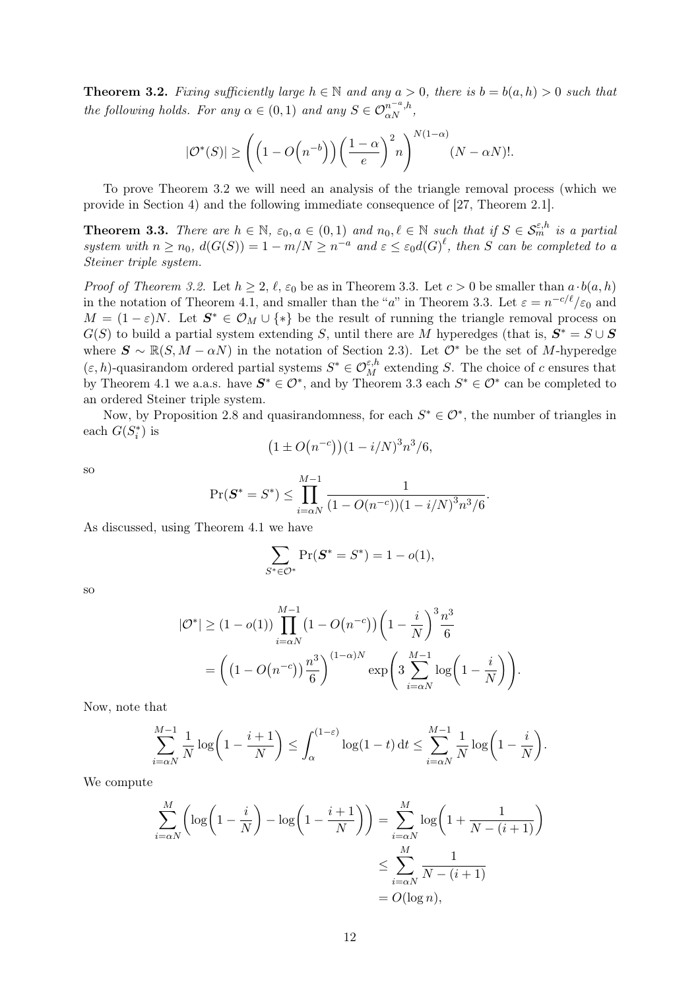**Theorem 3.2.** Fixing sufficiently large  $h \in \mathbb{N}$  and any  $a > 0$ , there is  $b = b(a, h) > 0$  such that the following holds. For any  $\alpha \in (0,1)$  and any  $S \in \mathcal{O}_{\alpha N}^{n^{-a},h}$ ,

$$
|\mathcal{O}^*(S)| \ge \left( \left( 1 - O\left( n^{-b} \right) \right) \left( \frac{1 - \alpha}{e} \right)^2 n \right)^{N(1 - \alpha)} (N - \alpha N)!.
$$

To prove [Theorem 3.2](#page-10-0) we will need an analysis of the triangle removal process (which we provide in [Section 4\)](#page-12-0) and the following immediate consequence of [\[27,](#page-25-5) Theorem 2.1].

<span id="page-11-0"></span>**Theorem 3.3.** There are  $h \in \mathbb{N}$ ,  $\varepsilon_0, a \in (0,1)$  and  $n_0, \ell \in \mathbb{N}$  such that if  $S \in \mathcal{S}_m^{\varepsilon,h}$  is a partial system with  $n \ge n_0$ ,  $d(G(S)) = 1 - m/N \ge n^{-a}$  and  $\varepsilon \le \varepsilon_0 d(G)^{\ell}$ , then S can be completed to a Steiner triple system.

*Proof of [Theorem 3.2.](#page-10-0)* Let  $h \geq 2, \ell, \varepsilon_0$  be as in [Theorem 3.3.](#page-11-0) Let  $c > 0$  be smaller than  $a \cdot b(a, h)$ in the notation of [Theorem 4.1,](#page-13-0) and smaller than the "a" in [Theorem 3.3.](#page-11-0) Let  $\varepsilon = n^{-c/\ell}/\varepsilon_0$  and  $M = (1 - \varepsilon)N$ . Let  $S^* \in \mathcal{O}_M \cup \{*\}$  be the result of running the triangle removal process on  $G(S)$  to build a partial system extending S, until there are M hyperedges (that is,  $S^* = S \cup S$ where  $\mathbf{S} \sim \mathbb{R}(S, M - \alpha N)$  in the notation of [Section 2.3\)](#page-7-0). Let  $\mathcal{O}^*$  be the set of M-hyperedge  $(\varepsilon, h)$ -quasirandom ordered partial systems  $S^* \in \mathcal{O}_{M}^{\varepsilon, h}$  extending S. The choice of c ensures that by [Theorem 4.1](#page-13-0) we a.a.s. have  $S^* \in \mathcal{O}^*$ , and by [Theorem 3.3](#page-11-0) each  $S^* \in \mathcal{O}^*$  can be completed to an ordered Steiner triple system.

Now, by [Proposition 2.8](#page-6-3) and quasirandomness, for each  $S^* \in \mathcal{O}^*$ , the number of triangles in each  $G(S_i^*)$  is

$$
(1 \pm O(n^{-c}))(1 - i/N)^3 n^3/6,
$$

so

$$
\Pr(\boldsymbol{S}^* = S^*) \le \prod_{i=\alpha N}^{M-1} \frac{1}{(1 - O(n^{-c}))(1 - i/N)^3 n^3/6}.
$$

As discussed, using [Theorem 4.1](#page-13-0) we have

$$
\sum_{S^* \in \mathcal{O}^*} \Pr(\mathbf{S}^* = S^*) = 1 - o(1),
$$

so

$$
|\mathcal{O}^*| \ge (1 - o(1)) \prod_{i = \alpha N}^{M-1} (1 - O(n^{-c})) \left( 1 - \frac{i}{N} \right)^3 \frac{n^3}{6}
$$
  
=  $\left( (1 - O(n^{-c})) \frac{n^3}{6} \right)^{(1 - \alpha)N} \exp \left( 3 \sum_{i = \alpha N}^{M-1} \log \left( 1 - \frac{i}{N} \right) \right).$ 

Now, note that

$$
\sum_{i=\alpha N}^{M-1} \frac{1}{N} \log \left( 1 - \frac{i+1}{N} \right) \le \int_{\alpha}^{(1-\varepsilon)} \log(1-t) dt \le \sum_{i=\alpha N}^{M-1} \frac{1}{N} \log \left( 1 - \frac{i}{N} \right).
$$

We compute

$$
\sum_{i=\alpha N}^{M} \left( \log \left( 1 - \frac{i}{N} \right) - \log \left( 1 - \frac{i+1}{N} \right) \right) = \sum_{i=\alpha N}^{M} \log \left( 1 + \frac{1}{N - (i+1)} \right)
$$

$$
\leq \sum_{i=\alpha N}^{M} \frac{1}{N - (i+1)}
$$

$$
= O(\log n),
$$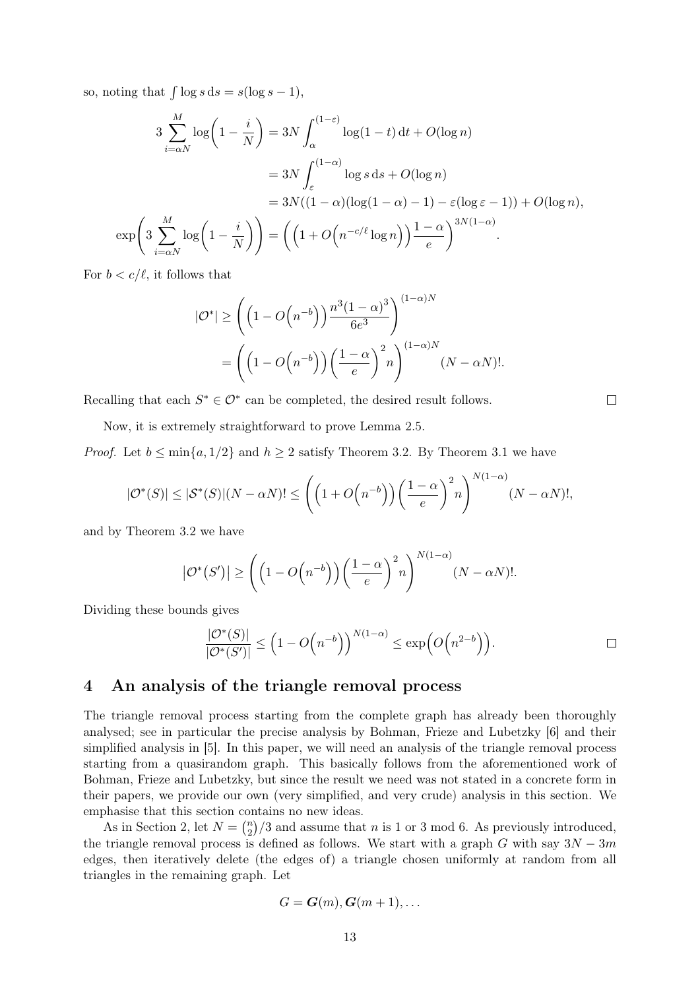so, noting that  $\int \log s \, ds = s(\log s - 1)$ ,

$$
3\sum_{i=\alpha N}^{M} \log\left(1 - \frac{i}{N}\right) = 3N \int_{\alpha}^{(1-\varepsilon)} \log(1-t) dt + O(\log n)
$$

$$
= 3N \int_{\varepsilon}^{(1-\alpha)} \log s \, ds + O(\log n)
$$

$$
= 3N((1-\alpha)(\log(1-\alpha)-1)-\varepsilon(\log \varepsilon-1)) + O(\log n),
$$

$$
\exp\left(3\sum_{i=\alpha N}^{M} \log\left(1 - \frac{i}{N}\right)\right) = \left(\left(1 + O\left(n^{-c/\ell} \log n\right)\right) \frac{1-\alpha}{e}\right)^{3N(1-\alpha)}.
$$

For  $b < c/\ell$ , it follows that

$$
|\mathcal{O}^*| \ge \left( \left( 1 - O\left( n^{-b} \right) \right) \frac{n^3 (1 - \alpha)^3}{6e^3} \right)^{(1 - \alpha)N}
$$
  
= 
$$
\left( \left( 1 - O\left( n^{-b} \right) \right) \left( \frac{1 - \alpha}{e} \right)^2 n \right)^{(1 - \alpha)N} (N - \alpha N)!.
$$

Recalling that each  $S^* \in \mathcal{O}^*$  can be completed, the desired result follows.

Now, it is extremely straightforward to prove [Lemma 2.5.](#page-4-1)

*Proof.* Let  $b \le \min\{a, 1/2\}$  and  $h \ge 2$  satisfy [Theorem 3.2.](#page-10-0) By [Theorem 3.1](#page-9-3) we have

$$
|\mathcal{O}^*(S)| \leq |\mathcal{S}^*(S)|(N - \alpha N)! \leq \left(\left(1 + O\left(n^{-b}\right)\right)\left(\frac{1-\alpha}{e}\right)^2 n\right)^{N(1-\alpha)} (N - \alpha N)!,
$$

and by [Theorem 3.2](#page-10-0) we have

$$
|\mathcal{O}^*(S')| \ge \left( \left(1 - O\left(n^{-b}\right)\right) \left(\frac{1-\alpha}{e}\right)^2 n \right)^{N(1-\alpha)} (N - \alpha N)!.
$$

Dividing these bounds gives

$$
\frac{|\mathcal{O}^*(S)|}{|\mathcal{O}^*(S')|} \le \left(1 - O\left(n^{-b}\right)\right)^{N(1-\alpha)} \le \exp\left(O\left(n^{2-b}\right)\right).
$$

 $\Box$ 

### <span id="page-12-0"></span>4 An analysis of the triangle removal process

The triangle removal process starting from the complete graph has already been thoroughly analysed; see in particular the precise analysis by Bohman, Frieze and Lubetzky [\[6\]](#page-25-20) and their simplified analysis in [\[5\]](#page-25-21). In this paper, we will need an analysis of the triangle removal process starting from a quasirandom graph. This basically follows from the aforementioned work of Bohman, Frieze and Lubetzky, but since the result we need was not stated in a concrete form in their papers, we provide our own (very simplified, and very crude) analysis in this section. We emphasise that this section contains no new ideas.

As in [Section 2,](#page-3-0) let  $N = \binom{n}{2}$  $n_2$ /3 and assume that *n* is 1 or 3 mod 6. As previously introduced, the triangle removal process is defined as follows. We start with a graph G with say  $3N - 3m$ edges, then iteratively delete (the edges of) a triangle chosen uniformly at random from all triangles in the remaining graph. Let

$$
G = \boldsymbol{G}(m), \boldsymbol{G}(m+1), \ldots
$$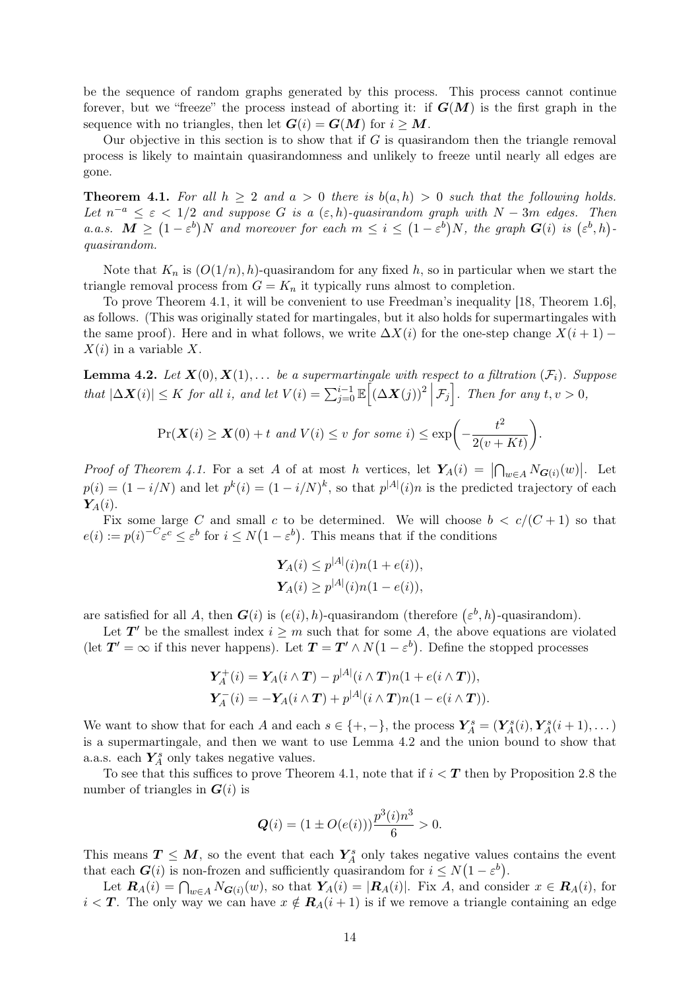be the sequence of random graphs generated by this process. This process cannot continue forever, but we "freeze" the process instead of aborting it: if  $G(M)$  is the first graph in the sequence with no triangles, then let  $G(i) = G(M)$  for  $i > M$ .

Our objective in this section is to show that if  $G$  is quasirandom then the triangle removal process is likely to maintain quasirandomness and unlikely to freeze until nearly all edges are gone.

<span id="page-13-0"></span>**Theorem 4.1.** For all  $h \geq 2$  and  $a > 0$  there is  $b(a, h) > 0$  such that the following holds. Let  $n^{-a} \leq \varepsilon < 1/2$  and suppose G is a  $(\varepsilon, h)$ -quasirandom graph with  $N - 3m$  edges. Then a.a.s.  $\mathbf{M} \geq (1 - \varepsilon^b)N$  and moreover for each  $m \leq i \leq (1 - \varepsilon^b)N$ , the graph  $\mathbf{G}(i)$  is  $(\varepsilon^b, h)$ . quasirandom.

Note that  $K_n$  is  $(O(1/n), h)$ -quasirandom for any fixed h, so in particular when we start the triangle removal process from  $G = K_n$  it typically runs almost to completion.

To prove [Theorem 4.1,](#page-13-0) it will be convenient to use Freedman's inequality [\[18,](#page-25-22) Theorem 1.6], as follows. (This was originally stated for martingales, but it also holds for supermartingales with the same proof). Here and in what follows, we write  $\Delta X(i)$  for the one-step change  $X(i + 1)$  –  $X(i)$  in a variable X.

<span id="page-13-1"></span>**Lemma 4.2.** Let  $X(0), X(1), \ldots$  be a supermartingale with respect to a filtration  $(\mathcal{F}_i)$ . Suppose that  $|\Delta \mathbf{X}(i)| \leq K$  for all i, and let  $V(i) = \sum_{j=0}^{i-1} \mathbb{E} \left[ (\Delta \mathbf{X}(j))^2 \, \middle| \, \mathcal{F}_j \right]$ . Then for any  $t, v > 0$ ,

$$
\Pr(\mathbf{X}(i) \ge \mathbf{X}(0) + t \text{ and } V(i) \le v \text{ for some } i) \le \exp\bigg(-\frac{t^2}{2(v+Kt)}\bigg).
$$

Proof of [Theorem 4.1.](#page-13-0) For a set A of at most h vertices, let  $Y_A(i) = |\bigcap_{w \in A} N_{G(i)}(w)|$ . Let  $p(i) = (1 - i/N)$  and let  $p^{k}(i) = (1 - i/N)^{k}$ , so that  $p^{|A|}(i)n$  is the predicted trajectory of each  $Y_A(i)$ .

Fix some large C and small c to be determined. We will choose  $b < c/(C+1)$  so that  $e(i) := p(i)^{-C} \varepsilon^{c} \leq \varepsilon^{b}$  for  $i \leq N(1 - \varepsilon^{b})$ . This means that if the conditions

$$
Y_A(i) \le p^{|A|}(i) n(1 + e(i)),
$$
  

$$
Y_A(i) \ge p^{|A|}(i) n(1 - e(i)),
$$

are satisfied for all A, then  $G(i)$  is  $(e(i), h)$ -quasirandom (therefore  $(\varepsilon^b, h)$ -quasirandom).

Let  $T'$  be the smallest index  $i \geq m$  such that for some A, the above equations are violated (let  $T' = \infty$  if this never happens). Let  $T = T' \wedge N(1 - \varepsilon^b)$ . Define the stopped processes

$$
\mathbf{Y}_A^+(i) = \mathbf{Y}_A(i \wedge \mathbf{T}) - p^{|A|}(i \wedge \mathbf{T})n(1 + e(i \wedge \mathbf{T})),
$$
  

$$
\mathbf{Y}_A^-(i) = -\mathbf{Y}_A(i \wedge \mathbf{T}) + p^{|A|}(i \wedge \mathbf{T})n(1 - e(i \wedge \mathbf{T})).
$$

We want to show that for each A and each  $s \in \{+, -\}$ , the process  $\mathbf{Y}_A^s = (\mathbf{Y}_A^s(i), \mathbf{Y}_A^s(i+1), \dots)$ is a supermartingale, and then we want to use [Lemma 4.2](#page-13-1) and the union bound to show that a.a.s. each  $Y_A^s$  only takes negative values.

To see that this suffices to prove [Theorem 4.1,](#page-13-0) note that if  $i < T$  then by [Proposition 2.8](#page-6-3) the number of triangles in  $G(i)$  is

$$
Q(i) = (1 \pm O(e(i))) \frac{p^3(i)n^3}{6} > 0.
$$

This means  $T \leq M$ , so the event that each  $Y_A^s$  only takes negative values contains the event that each  $G(i)$  is non-frozen and sufficiently quasirandom for  $i \leq N(1 - \varepsilon^b)$ .

Let  $\mathbf{R}_A(i) = \bigcap_{w \in A} N_{\mathbf{G}(i)}(w)$ , so that  $\mathbf{Y}_A(i) = |\mathbf{R}_A(i)|$ . Fix A, and consider  $x \in \mathbf{R}_A(i)$ , for  $i < T$ . The only way we can have  $x \notin \mathbf{R}_A(i+1)$  is if we remove a triangle containing an edge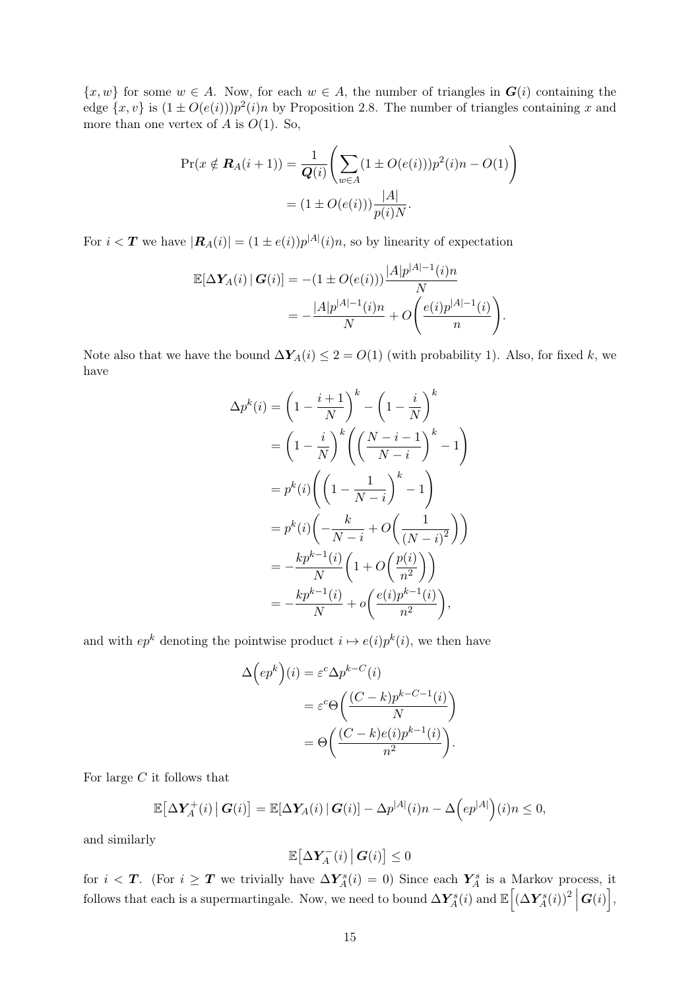$\{x, w\}$  for some  $w \in A$ . Now, for each  $w \in A$ , the number of triangles in  $G(i)$  containing the edge  $\{x, v\}$  is  $(1 \pm O(e(i)))p^2(i)n$  by [Proposition 2.8.](#page-6-3) The number of triangles containing x and more than one vertex of A is  $O(1)$ . So,

$$
\Pr(x \notin \mathbf{R}_A(i+1)) = \frac{1}{\mathbf{Q}(i)} \left( \sum_{w \in A} (1 \pm O(e(i))) p^2(i) n - O(1) \right)
$$

$$
= (1 \pm O(e(i))) \frac{|A|}{p(i)N}.
$$

For  $i < T$  we have  $|\mathbf{R}_A(i)| = (1 \pm e(i))p^{|A|}(i)n$ , so by linearity of expectation

$$
\mathbb{E}[\Delta \mathbf{Y}_A(i) | \mathbf{G}(i)] = -(1 \pm O(e(i))) \frac{|A| p^{|A|-1}(i) n}{N}
$$
  
= 
$$
-\frac{|A| p^{|A|-1}(i) n}{N} + O\left(\frac{e(i) p^{|A|-1}(i)}{n}\right).
$$

Note also that we have the bound  $\Delta Y_A(i) \leq 2 = O(1)$  (with probability 1). Also, for fixed k, we have

$$
\Delta p^{k}(i) = \left(1 - \frac{i+1}{N}\right)^{k} - \left(1 - \frac{i}{N}\right)^{k}
$$

$$
= \left(1 - \frac{i}{N}\right)^{k} \left(\left(\frac{N-i-1}{N-i}\right)^{k} - 1\right)
$$

$$
= p^{k}(i) \left(\left(1 - \frac{1}{N-i}\right)^{k} - 1\right)
$$

$$
= p^{k}(i) \left(-\frac{k}{N-i} + O\left(\frac{1}{(N-i)^{2}}\right)\right)
$$

$$
= -\frac{kp^{k-1}(i)}{N} \left(1 + O\left(\frac{p(i)}{n^{2}}\right)\right)
$$

$$
= -\frac{kp^{k-1}(i)}{N} + o\left(\frac{e(i)p^{k-1}(i)}{n^{2}}\right),
$$

and with  $ep^k$  denoting the pointwise product  $i \mapsto e(i)p^k(i)$ , we then have

$$
\Delta\left(ep^k\right)(i) = \varepsilon^c \Delta p^{k-C}(i)
$$

$$
= \varepsilon^c \Theta\left(\frac{(C-k)p^{k-C-1}(i)}{N}\right)
$$

$$
= \Theta\left(\frac{(C-k)e(i)p^{k-1}(i)}{n^2}\right).
$$

For large  $C$  it follows that

$$
\mathbb{E}\big[\Delta \mathbf{Y}_A^+(i) \, \big| \, \mathbf{G}(i)\big] = \mathbb{E}[\Delta \mathbf{Y}_A(i) \, \big| \, \mathbf{G}(i)\big] - \Delta p^{|A|}(i) n - \Delta \Big(e^{[A]}\Big)(i) n \leq 0,
$$

and similarly

$$
\mathbb{E}\big[\Delta \boldsymbol{Y}_A^-(i)\,\big|\,\boldsymbol{G}(i)\big]\leq 0
$$

for  $i < T$ . (For  $i \geq T$  we trivially have  $\Delta Y_A^s(i) = 0$ ) Since each  $Y_A^s$  is a Markov process, it follows that each is a supermartingale. Now, we need to bound  $\Delta Y^s_A(i)$  and  $\mathbb{E}\Big[(\Delta Y^s_A(i))^2\Big]$  $\bm{G}(i)$ ,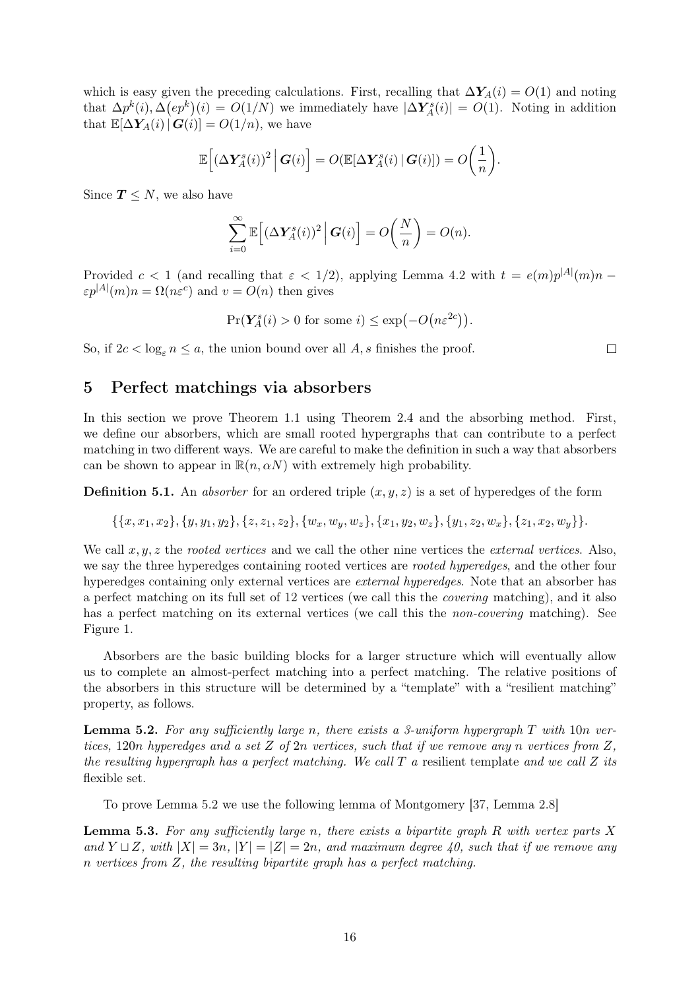which is easy given the preceding calculations. First, recalling that  $\Delta Y_A(i) = O(1)$  and noting that  $\Delta p^k(i), \Delta (ep^k)(i) = O(1/N)$  we immediately have  $|\Delta Y_A^s(i)| = O(1)$ . Noting in addition that  $\mathbb{E}[\Delta Y_A(i) | G(i)] = O(1/n)$ , we have

$$
\mathbb{E}\Big[(\Delta \boldsymbol{Y}_A^s(i))^2 \,\Big|\, \boldsymbol{G}(i)\Big] = O(\mathbb{E}[\Delta \boldsymbol{Y}_A^s(i) \,|\, \boldsymbol{G}(i)]) = O\bigg(\frac{1}{n}\bigg).
$$

Since  $T \leq N$ , we also have

$$
\sum_{i=0}^{\infty} \mathbb{E}\Big[ \left(\Delta \mathbf{Y}_A^s(i)\right)^2 \Big| \mathbf{G}(i) \Big] = O\bigg(\frac{N}{n}\bigg) = O(n).
$$

Provided  $c < 1$  (and recalling that  $\varepsilon < 1/2$ ), applying [Lemma 4.2](#page-13-1) with  $t = e(m)p^{|A|}(m)n$  $\varepsilon p^{|A|}(m)n = \Omega(n\varepsilon^c)$  and  $v = O(n)$  then gives

$$
\Pr(Y_A^s(i) > 0 \text{ for some } i) \le \exp(-O(n\varepsilon^{2c})).
$$

So, if  $2c < \log_{\varepsilon} n \le a$ , the union bound over all A, s finishes the proof.

### <span id="page-15-0"></span>5 Perfect matchings via absorbers

In this section we prove [Theorem 1.1](#page-1-1) using [Theorem 2.4](#page-4-0) and the absorbing method. First, we define our absorbers, which are small rooted hypergraphs that can contribute to a perfect matching in two different ways. We are careful to make the definition in such a way that absorbers can be shown to appear in  $\mathbb{R}(n, \alpha N)$  with extremely high probability.

<span id="page-15-3"></span>**Definition 5.1.** An *absorber* for an ordered triple  $(x, y, z)$  is a set of hyperedges of the form

$$
\{\{x,x_1,x_2\},\{y,y_1,y_2\},\{z,z_1,z_2\},\{w_x,w_y,w_z\},\{x_1,y_2,w_z\},\{y_1,z_2,w_x\},\{z_1,x_2,w_y\}\}.
$$

We call  $x, y, z$  the rooted vertices and we call the other nine vertices the external vertices. Also, we say the three hyperedges containing rooted vertices are *rooted hyperedges*, and the other four hyperedges containing only external vertices are *external hyperedges*. Note that an absorber has a perfect matching on its full set of 12 vertices (we call this the covering matching), and it also has a perfect matching on its external vertices (we call this the *non-covering* matching). See [Figure 1.](#page-16-0)

Absorbers are the basic building blocks for a larger structure which will eventually allow us to complete an almost-perfect matching into a perfect matching. The relative positions of the absorbers in this structure will be determined by a "template" with a "resilient matching" property, as follows.

<span id="page-15-1"></span>**Lemma 5.2.** For any sufficiently large n, there exists a 3-uniform hypergraph T with 10n vertices, 120n hyperedges and a set Z of  $2n$  vertices, such that if we remove any n vertices from Z, the resulting hypergraph has a perfect matching. We call  $T$  a resilient template and we call  $Z$  its flexible set.

To prove [Lemma 5.2](#page-15-1) we use the following lemma of Montgomery [\[37,](#page-26-17) Lemma 2.8]

<span id="page-15-2"></span>**Lemma 5.3.** For any sufficiently large n, there exists a bipartite graph R with vertex parts X and  $Y \sqcup Z$ , with  $|X| = 3n$ ,  $|Y| = |Z| = 2n$ , and maximum degree 40, such that if we remove any n vertices from Z, the resulting bipartite graph has a perfect matching.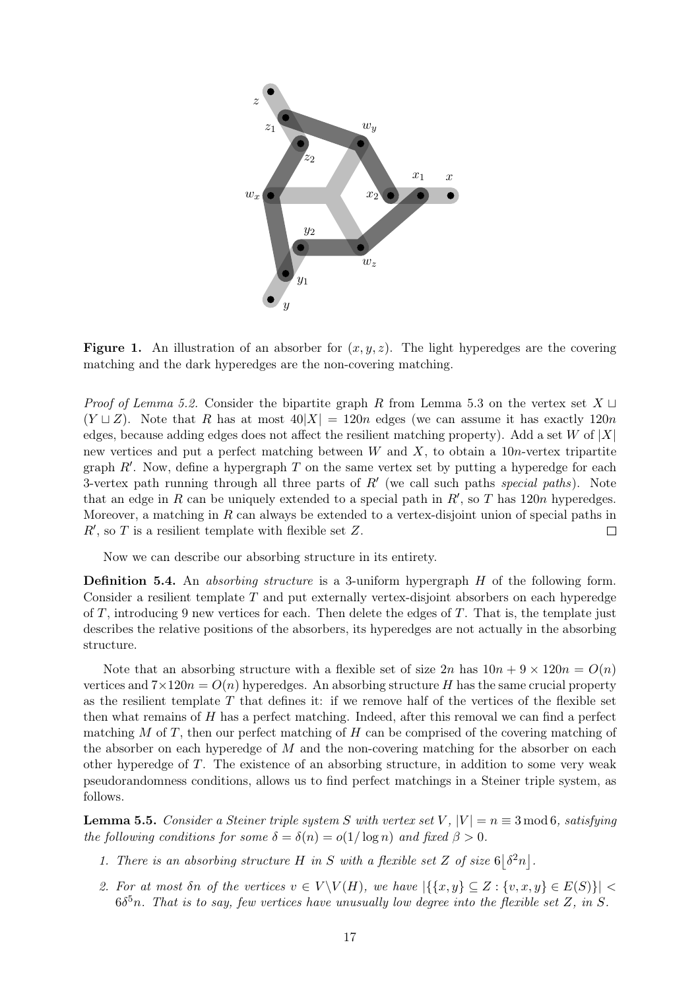<span id="page-16-0"></span>

**Figure 1.** An illustration of an absorber for  $(x, y, z)$ . The light hyperedges are the covering matching and the dark hyperedges are the non-covering matching.

*Proof of [Lemma 5.2.](#page-15-1)* Consider the bipartite graph R from [Lemma 5.3](#page-15-2) on the vertex set  $X \sqcup$  $(Y \sqcup Z)$ . Note that R has at most  $40|X| = 120n$  edges (we can assume it has exactly 120n edges, because adding edges does not affect the resilient matching property). Add a set W of  $|X|$ new vertices and put a perfect matching between  $W$  and  $X$ , to obtain a 10*n*-vertex tripartite graph  $R'$ . Now, define a hypergraph  $T$  on the same vertex set by putting a hyperedge for each 3-vertex path running through all three parts of  $R'$  (we call such paths special paths). Note that an edge in R can be uniquely extended to a special path in  $R'$ , so T has 120n hyperedges. Moreover, a matching in  $R$  can always be extended to a vertex-disjoint union of special paths in  $R'$ , so T is a resilient template with flexible set Z.  $\Box$ 

Now we can describe our absorbing structure in its entirety.

Definition 5.4. An absorbing structure is a 3-uniform hypergraph H of the following form. Consider a resilient template  $T$  and put externally vertex-disjoint absorbers on each hyperedge of T, introducing 9 new vertices for each. Then delete the edges of T. That is, the template just describes the relative positions of the absorbers, its hyperedges are not actually in the absorbing structure.

Note that an absorbing structure with a flexible set of size  $2n$  has  $10n + 9 \times 120n = O(n)$ vertices and  $7 \times 120n = O(n)$  hyperedges. An absorbing structure H has the same crucial property as the resilient template  $T$  that defines it: if we remove half of the vertices of the flexible set then what remains of H has a perfect matching. Indeed, after this removal we can find a perfect matching  $M$  of  $T$ , then our perfect matching of  $H$  can be comprised of the covering matching of the absorber on each hyperedge of  $M$  and the non-covering matching for the absorber on each other hyperedge of T. The existence of an absorbing structure, in addition to some very weak pseudorandomness conditions, allows us to find perfect matchings in a Steiner triple system, as follows.

<span id="page-16-2"></span>**Lemma 5.5.** Consider a Steiner triple system S with vertex set V,  $|V| = n \equiv 3 \mod 6$ , satisfying the following conditions for some  $\delta = \delta(n) = o(1/\log n)$  and fixed  $\beta > 0$ .

- <span id="page-16-3"></span>1. There is an absorbing structure H in S with a flexible set Z of size  $6|\delta^2 n|$ .
- <span id="page-16-1"></span>2. For at most  $\delta n$  of the vertices  $v \in V \backslash V(H)$ , we have  $|\{\{x,y\} \subseteq Z : \{v,x,y\} \in E(S)\}|$  $6\delta^5 n$ . That is to say, few vertices have unusually low degree into the flexible set Z, in S.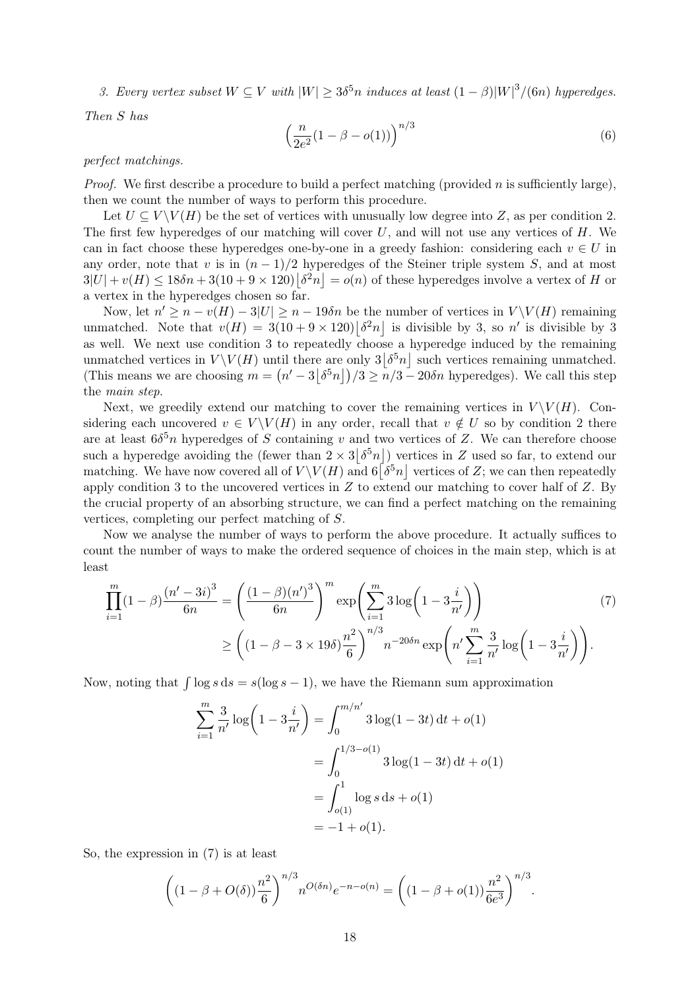<span id="page-17-0"></span>3. Every vertex subset  $W \subseteq V$  with  $|W| \geq 3\delta^5 n$  induces at least  $(1 - \beta)|W|^3/(6n)$  hyperedges.

Then S has

<span id="page-17-2"></span>
$$
\left(\frac{n}{2e^2}(1-\beta-o(1))\right)^{n/3} \tag{6}
$$

#### perfect matchings.

*Proof.* We first describe a procedure to build a perfect matching (provided n is sufficiently large), then we count the number of ways to perform this procedure.

Let  $U \subseteq V \backslash V(H)$  be the set of vertices with unusually low degree into Z, as per [condition 2.](#page-16-1) The first few hyperedges of our matching will cover  $U$ , and will not use any vertices of  $H$ . We can in fact choose these hyperedges one-by-one in a greedy fashion: considering each  $v \in U$  in any order, note that v is in  $(n-1)/2$  hyperedges of the Steiner triple system S, and at most  $3|U| + v(H) \leq 18\delta n + 3(10 + 9 \times 120) |\delta^2 n| = o(n)$  of these hyperedges involve a vertex of H or a vertex in the hyperedges chosen so far.

Now, let  $n' \geq n - v(H) - 3|U| \geq n - 19\delta n$  be the number of vertices in  $V \setminus V(H)$  remaining unmatched. Note that  $v(H) = 3(10 + 9 \times 120) |\delta^2 n|$  is divisible by 3, so n' is divisible by 3 as well. We next use [condition 3](#page-17-0) to repeatedly choose a hyperedge induced by the remaining unmatched vertices in  $V \setminus V(H)$  until there are only  $3|\delta^5 n|$  such vertices remaining unmatched. (This means we are choosing  $m = (n' - 3|\delta^5 n|)/3 \geq n/3 - 20\delta n$  hyperedges). We call this step the main step.

Next, we greedily extend our matching to cover the remaining vertices in  $V \backslash V(H)$ . Considering each uncovered  $v \in V \backslash V(H)$  in any order, recall that  $v \notin U$  so by [condition 2](#page-16-1) there are at least  $6\delta^5 n$  hyperedges of S containing v and two vertices of Z. We can therefore choose such a hyperedge avoiding the (fewer than  $2 \times 3\left[\delta^5 n\right]$ ) vertices in Z used so far, to extend our matching. We have now covered all of  $V\setminus V(H)$  and  $6\lceil \delta^5 n \rceil$  vertices of Z; we can then repeatedly apply [condition 3](#page-17-0) to the uncovered vertices in  $Z$  to extend our matching to cover half of  $Z$ . By the crucial property of an absorbing structure, we can find a perfect matching on the remaining vertices, completing our perfect matching of S.

Now we analyse the number of ways to perform the above procedure. It actually suffices to count the number of ways to make the ordered sequence of choices in the main step, which is at least

$$
\prod_{i=1}^{m} (1 - \beta) \frac{(n' - 3i)^3}{6n} = \left(\frac{(1 - \beta)(n')^3}{6n}\right)^m \exp\left(\sum_{i=1}^{m} 3\log\left(1 - 3\frac{i}{n'}\right)\right)
$$
\n
$$
\ge \left((1 - \beta - 3 \times 19\delta)\frac{n^2}{6}\right)^{n/3} n^{-20\delta n} \exp\left(n'\sum_{i=1}^{m} \frac{3}{n'}\log\left(1 - 3\frac{i}{n'}\right)\right).
$$
\n(7)

Now, noting that  $\int \log s \, ds = s(\log s - 1)$ , we have the Riemann sum approximation

$$
\sum_{i=1}^{m} \frac{3}{n'} \log \left( 1 - 3 \frac{i}{n'} \right) = \int_{0}^{m/n'} 3 \log(1 - 3t) dt + o(1)
$$
  
= 
$$
\int_{0}^{1/3 - o(1)} 3 \log(1 - 3t) dt + o(1)
$$
  
= 
$$
\int_{o(1)}^{1} \log s ds + o(1)
$$
  
= 
$$
-1 + o(1).
$$

So, the expression in [\(7\)](#page-17-1) is at least

$$
\left( (1 - \beta + O(\delta)) \frac{n^2}{6} \right)^{n/3} n^{O(\delta n)} e^{-n - o(n)} = \left( (1 - \beta + o(1)) \frac{n^2}{6e^3} \right)^{n/3}
$$

<span id="page-17-1"></span>.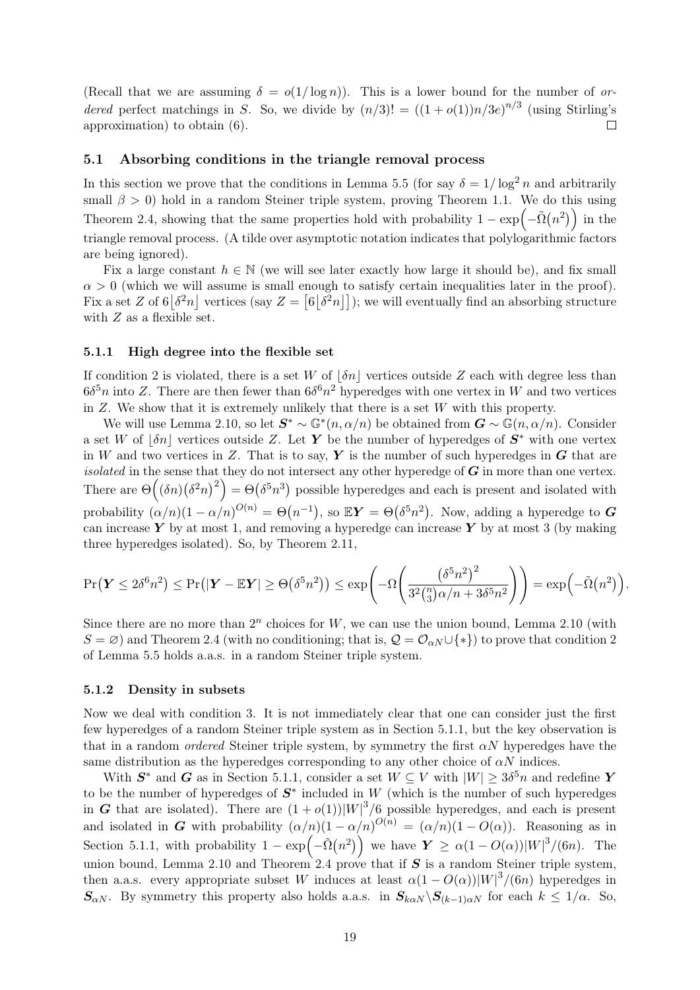(Recall that we are assuming  $\delta = o(1/\log n)$ ). This is a lower bound for the number of ordered perfect matchings in S. So, we divide by  $(n/3)! = ((1 + o(1))n/3e)^{n/3}$  (using Stirling's  $\Box$ approximation) to obtain [\(6\).](#page-17-2)

#### <span id="page-18-2"></span>5.1 Absorbing conditions in the triangle removal process

In this section we prove that the conditions in [Lemma 5.5](#page-16-2) (for say  $\delta = 1/\log^2 n$  and arbitrarily small  $\beta > 0$ ) hold in a random Steiner triple system, proving [Theorem 1.1.](#page-1-1) We do this using [Theorem 2.4,](#page-4-0) showing that the same properties hold with probability  $1 - \exp(-\tilde{\Omega}(n^2))$  in the triangle removal process. (A tilde over asymptotic notation indicates that polylogarithmic factors are being ignored).

Fix a large constant  $h \in \mathbb{N}$  (we will see later exactly how large it should be), and fix small  $\alpha > 0$  (which we will assume is small enough to satisfy certain inequalities later in the proof). Fix a set Z of  $6|\delta^2 n|$  vertices (say  $Z = [6|\delta^2 n|]$ ); we will eventually find an absorbing structure with  $Z$  as a flexible set.

#### <span id="page-18-0"></span>5.1.1 High degree into the flexible set

If [condition 2](#page-16-1) is violated, there is a set W of  $|\delta n|$  vertices outside Z each with degree less than  $6\delta^5 n$  into Z. There are then fewer than  $6\delta^6 n^2$  hyperedges with one vertex in W and two vertices in  $Z$ . We show that it is extremely unlikely that there is a set  $W$  with this property.

We will use [Lemma 2.10,](#page-7-1) so let  $S^* \sim \mathbb{G}^*(n, \alpha/n)$  be obtained from  $G \sim \mathbb{G}(n, \alpha/n)$ . Consider a set W of  $\delta n$  vertices outside Z. Let Y be the number of hyperedges of  $S^*$  with one vertex in W and two vertices in Z. That is to say, Y is the number of such hyperedges in  $G$  that are isolated in the sense that they do not intersect any other hyperedge of  $G$  in more than one vertex. There are  $\Theta((\delta n)(\delta^2 n)^2) = \Theta(\delta^5 n^3)$  possible hyperedges and each is present and isolated with probability  $(\alpha/n)(1-\alpha/n)^{O(n)} = \Theta(n^{-1}),$  so  $\mathbb{E}Y = \Theta(\delta^5 n^2)$ . Now, adding a hyperedge to  $\boldsymbol{G}$ can increase Y by at most 1, and removing a hyperedge can increase Y by at most 3 (by making three hyperedges isolated). So, by [Theorem 2.11,](#page-8-0)

$$
\Pr(\boldsymbol{Y} \le 2\delta^6 n^2) \le \Pr(|\boldsymbol{Y} - \mathbb{E}\boldsymbol{Y}| \ge \Theta(\delta^5 n^2)) \le \exp\left(-\Omega\left(\frac{(\delta^5 n^2)^2}{3^2 {n \choose 3} \alpha/n + 3\delta^5 n^2}\right)\right) = \exp\left(-\tilde{\Omega}(n^2)\right)
$$

.

Since there are no more than  $2^n$  choices for W, we can use the union bound, [Lemma 2.10](#page-7-1) (with  $S = \varnothing$ ) and [Theorem 2.4](#page-4-0) (with no conditioning; that is,  $\mathcal{Q} = \mathcal{O}_{\alpha N} \cup \{*\}$ ) to prove that [condition 2](#page-16-1) of [Lemma 5.5](#page-16-2) holds a.a.s. in a random Steiner triple system.

### <span id="page-18-1"></span>5.1.2 Density in subsets

Now we deal with [condition 3.](#page-17-0) It is not immediately clear that one can consider just the first few hyperedges of a random Steiner triple system as in [Section 5.1.1,](#page-18-0) but the key observation is that in a random *ordered* Steiner triple system, by symmetry the first  $\alpha N$  hyperedges have the same distribution as the hyperedges corresponding to any other choice of  $\alpha N$  indices.

With  $S^*$  and G as in [Section 5.1.1,](#page-18-0) consider a set  $W \subseteq V$  with  $|W| \geq 3\delta^5 n$  and redefine Y to be the number of hyperedges of  $S^*$  included in W (which is the number of such hyperedges in G that are isolated). There are  $(1+o(1))|W|^3/6$  possible hyperedges, and each is present and isolated in G with probability  $(\alpha/n)(1-\alpha/n)^{O(n)} = (\alpha/n)(1-O(\alpha))$ . Reasoning as in [Section 5.1.1,](#page-18-0) with probability  $1 - \exp(-\tilde{\Omega}(n^2))$  we have  $Y \ge \alpha(1 - O(\alpha))|W|^3/(6n)$ . The union bound, [Lemma 2.10](#page-7-1) and [Theorem 2.4](#page-4-0) prove that if  $S$  is a random Steiner triple system, then a.a.s. every appropriate subset W induces at least  $\alpha(1 - O(\alpha))|W|^3/(6n)$  hyperedges in  $S_{\alpha N}$ . By symmetry this property also holds a.a.s. in  $S_{k\alpha N}\setminus S_{(k-1)\alpha N}$  for each  $k \leq 1/\alpha$ . So,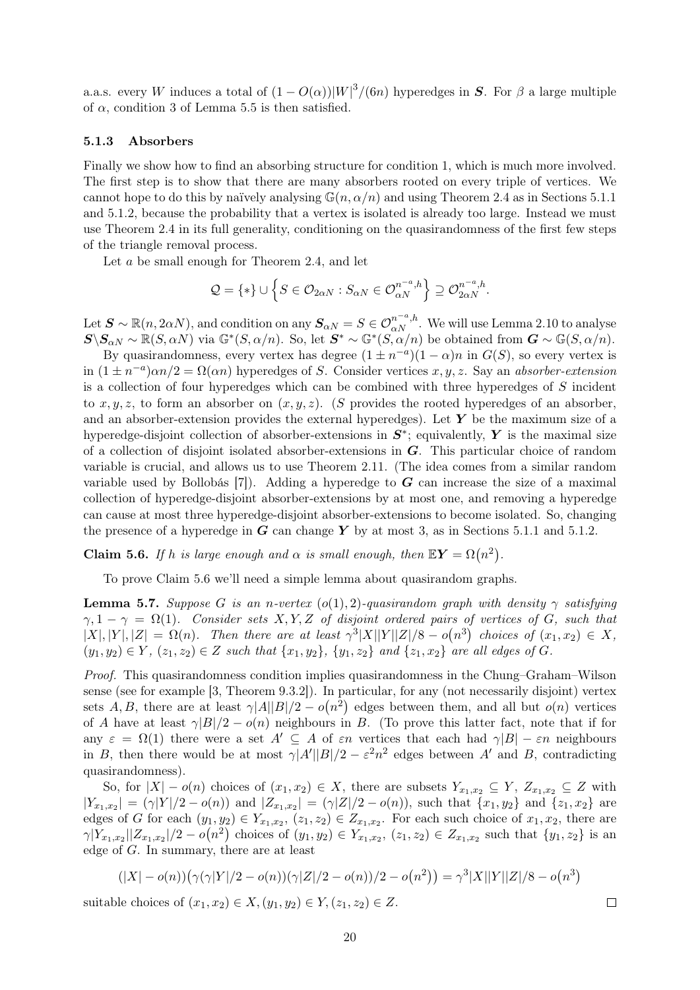a.a.s. every W induces a total of  $(1 - O(\alpha))|W|^3/(6n)$  hyperedges in S. For  $\beta$  a large multiple of  $\alpha$ , [condition 3](#page-17-0) of [Lemma 5.5](#page-16-2) is then satisfied.

#### <span id="page-19-0"></span>5.1.3 Absorbers

Finally we show how to find an absorbing structure for [condition 1,](#page-16-3) which is much more involved. The first step is to show that there are many absorbers rooted on every triple of vertices. We cannot hope to do this by naïvely analysing  $\mathbb{G}(n, \alpha/n)$  and using [Theorem 2.4](#page-4-0) as in [Sections 5.1.1](#page-18-0) and [5.1.2,](#page-18-1) because the probability that a vertex is isolated is already too large. Instead we must use [Theorem 2.4](#page-4-0) in its full generality, conditioning on the quasirandomness of the first few steps of the triangle removal process.

Let a be small enough for [Theorem 2.4,](#page-4-0) and let

$$
Q = \{*\} \cup \left\{S \in \mathcal{O}_{2\alpha N} : S_{\alpha N} \in \mathcal{O}_{\alpha N}^{n^{-a},h}\right\} \supseteq \mathcal{O}_{2\alpha N}^{n^{-a},h}.
$$

Let  $\mathbf{S} \sim \mathbb{R}(n, 2\alpha N)$ , and condition on any  $\mathbf{S}_{\alpha N} = S \in \mathcal{O}_{\alpha N}^{n^{-a},h}$ . We will use [Lemma 2.10](#page-7-1) to analyse  $S \backslash S_{\alpha N} \sim \mathbb{R}(S, \alpha N)$  via  $\mathbb{G}^*(S, \alpha/n)$ . So, let  $S^* \sim \mathbb{G}^*(S, \alpha/n)$  be obtained from  $G \sim \mathbb{G}(S, \alpha/n)$ .

By quasirandomness, every vertex has degree  $(1 \pm n^{-a})(1 - \alpha)n$  in  $G(S)$ , so every vertex is in  $(1 \pm n^{-a})\alpha n/2 = \Omega(\alpha n)$  hyperedges of S. Consider vertices x, y, z. Say an absorber-extension is a collection of four hyperedges which can be combined with three hyperedges of S incident to  $x, y, z$ , to form an absorber on  $(x, y, z)$ . (S provides the rooted hyperedges of an absorber, and an absorber-extension provides the external hyperedges). Let  $Y$  be the maximum size of a hyperedge-disjoint collection of absorber-extensions in  $S^*$ ; equivalently, Y is the maximal size of a collection of disjoint isolated absorber-extensions in G. This particular choice of random variable is crucial, and allows us to use [Theorem 2.11.](#page-8-0) (The idea comes from a similar random variable used by Bollobás  $[7]$ . Adding a hyperedge to G can increase the size of a maximal collection of hyperedge-disjoint absorber-extensions by at most one, and removing a hyperedge can cause at most three hyperedge-disjoint absorber-extensions to become isolated. So, changing the presence of a hyperedge in  $\boldsymbol{G}$  can change  $\boldsymbol{Y}$  by at most 3, as in [Sections 5.1.1](#page-18-0) and [5.1.2.](#page-18-1)

<span id="page-19-1"></span>**Claim 5.6.** If h is large enough and  $\alpha$  is small enough, then  $\mathbb{E}Y = \Omega(n^2)$ .

To prove [Claim 5.6](#page-19-1) we'll need a simple lemma about quasirandom graphs.

<span id="page-19-2"></span>**Lemma 5.7.** Suppose G is an n-vertex  $(o(1), 2)$ -quasirandom graph with density  $\gamma$  satisfying  $\gamma, 1 - \gamma = \Omega(1)$ . Consider sets X, Y, Z of disjoint ordered pairs of vertices of G, such that  $|X|, |Y|, |Z| = \Omega(n)$ . Then there are at least  $\gamma^3 |X||Y||Z|/8 - o(n^3)$  choices of  $(x_1, x_2) \in X$ ,  $(y_1, y_2) \in Y$ ,  $(z_1, z_2) \in Z$  such that  $\{x_1, y_2\}$ ,  $\{y_1, z_2\}$  and  $\{z_1, x_2\}$  are all edges of G.

Proof. This quasirandomness condition implies quasirandomness in the Chung–Graham–Wilson sense (see for example [\[3,](#page-24-2) Theorem 9.3.2]). In particular, for any (not necessarily disjoint) vertex sets A, B, there are at least  $\gamma |A||B|/2 - o(n^2)$  edges between them, and all but  $o(n)$  vertices of A have at least  $\gamma |B|/2 - o(n)$  neighbours in B. (To prove this latter fact, note that if for any  $\varepsilon = \Omega(1)$  there were a set  $A' \subseteq A$  of  $\varepsilon n$  vertices that each had  $\gamma |B| - \varepsilon n$  neighbours in B, then there would be at most  $\gamma |A'||B|/2 - \varepsilon^2 n^2$  edges between A' and B, contradicting quasirandomness).

So, for  $|X| - o(n)$  choices of  $(x_1, x_2) \in X$ , there are subsets  $Y_{x_1, x_2} \subseteq Y$ ,  $Z_{x_1, x_2} \subseteq Z$  with  $|Y_{x_1,x_2}| = (\gamma |Y|/2 - o(n))$  and  $|Z_{x_1,x_2}| = (\gamma |Z|/2 - o(n))$ , such that  $\{x_1,y_2\}$  and  $\{z_1,x_2\}$  are edges of G for each  $(y_1, y_2) \in Y_{x_1, x_2}, (z_1, z_2) \in Z_{x_1, x_2}$ . For each such choice of  $x_1, x_2$ , there are  $\gamma|Y_{x_1,x_2}||Z_{x_1,x_2}|/2-o(n^2)$  choices of  $(y_1,y_2)\in Y_{x_1,x_2}, (z_1,z_2)\in Z_{x_1,x_2}$  such that  $\{y_1,z_2\}$  is an edge of G. In summary, there are at least

$$
(|X| - o(n))\left(\gamma(\gamma|Y|/2 - o(n))(\gamma|Z|/2 - o(n))/2 - o(n^2)\right) = \gamma^3|X||Y||Z|/8 - o(n^3)
$$

suitable choices of  $(x_1, x_2) \in X, (y_1, y_2) \in Y, (z_1, z_2) \in Z$ .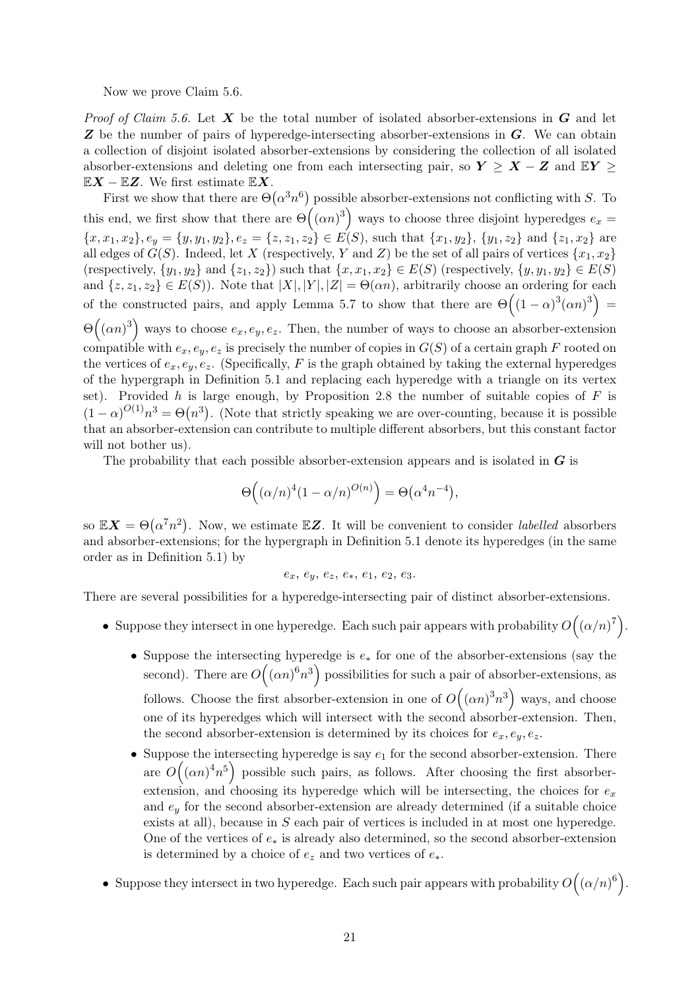Now we prove [Claim 5.6.](#page-19-1)

*Proof of [Claim 5.6.](#page-19-1)* Let  $X$  be the total number of isolated absorber-extensions in  $G$  and let  $\boldsymbol{Z}$  be the number of pairs of hyperedge-intersecting absorber-extensions in  $\boldsymbol{G}$ . We can obtain a collection of disjoint isolated absorber-extensions by considering the collection of all isolated absorber-extensions and deleting one from each intersecting pair, so  $Y \geq X - Z$  and  $EY \geq Z$  $\mathbb{E} \mathbf{X} - \mathbb{E} \mathbf{Z}$ . We first estimate  $\mathbb{E} \mathbf{X}$ .

First we show that there are  $\Theta(\alpha^3 n^6)$  possible absorber-extensions not conflicting with S. To this end, we first show that there are  $\Theta((\alpha n)^3)$  ways to choose three disjoint hyperedges  $e_x =$  ${x, x_1, x_2}, e_y = {y, y_1, y_2}, e_z = {z, z_1, z_2} \in E(S)$ , such that  ${x_1, y_2}, {y_1, z_2}$  and  ${z_1, x_2}$  are all edges of  $G(S)$ . Indeed, let X (respectively, Y and Z) be the set of all pairs of vertices  $\{x_1, x_2\}$ (respectively,  $\{y_1, y_2\}$  and  $\{z_1, z_2\}$ ) such that  $\{x, x_1, x_2\} \in E(S)$  (respectively,  $\{y, y_1, y_2\} \in E(S)$ ) and  $\{z, z_1, z_2\} \in E(S)$ ). Note that  $|X|, |Y|, |Z| = \Theta(\alpha n)$ , arbitrarily choose an ordering for each of the constructed pairs, and apply [Lemma 5.7](#page-19-2) to show that there are  $\Theta((1-\alpha)^3(\alpha n)^3)$  =  $\Theta((\alpha n)^3)$  ways to choose  $e_x, e_y, e_z$ . Then, the number of ways to choose an absorber-extension compatible with  $e_x, e_y, e_z$  is precisely the number of copies in  $G(S)$  of a certain graph F rooted on the vertices of  $e_x, e_y, e_z$ . (Specifically, F is the graph obtained by taking the external hyperedges of the hypergraph in [Definition 5.1](#page-15-3) and replacing each hyperedge with a triangle on its vertex set). Provided h is large enough, by [Proposition 2.8](#page-6-3) the number of suitable copies of  $F$  is  $(1-\alpha)^{O(1)}n^3 = \Theta(n^3)$ . (Note that strictly speaking we are over-counting, because it is possible that an absorber-extension can contribute to multiple different absorbers, but this constant factor will not bother us).

The probability that each possible absorber-extension appears and is isolated in  $G$  is

$$
\Theta\Big((\alpha/n)^4(1-\alpha/n)^{O(n)}\Big)=\Theta\big(\alpha^4n^{-4}\big),\,
$$

so  $\mathbb{E} \mathbf{X} = \Theta(\alpha^7 n^2)$ . Now, we estimate  $\mathbb{E} \mathbf{Z}$ . It will be convenient to consider *labelled* absorbers and absorber-extensions; for the hypergraph in [Definition 5.1](#page-15-3) denote its hyperedges (in the same order as in [Definition 5.1\)](#page-15-3) by

$$
e_x,\,e_y,\,e_z,\,e_*,\,e_1,\,e_2,\,e_3.
$$

There are several possibilities for a hyperedge-intersecting pair of distinct absorber-extensions.

- Suppose they intersect in one hyperedge. Each such pair appears with probability  $O((\alpha/n)^7)$ .
	- Suppose the intersecting hyperedge is  $e_*$  for one of the absorber-extensions (say the second). There are  $O((\alpha n)^6 n^3)$  possibilities for such a pair of absorber-extensions, as follows. Choose the first absorber-extension in one of  $O((\alpha n)^3 n^3)$  ways, and choose one of its hyperedges which will intersect with the second absorber-extension. Then, the second absorber-extension is determined by its choices for  $e_x, e_y, e_z$ .
	- Suppose the intersecting hyperedge is say  $e_1$  for the second absorber-extension. There are  $O((\alpha n)^4 n^5)$  possible such pairs, as follows. After choosing the first absorberextension, and choosing its hyperedge which will be intersecting, the choices for  $e_x$ and  $e_y$  for the second absorber-extension are already determined (if a suitable choice exists at all), because in S each pair of vertices is included in at most one hyperedge. One of the vertices of  $e_*$  is already also determined, so the second absorber-extension is determined by a choice of  $e_z$  and two vertices of  $e_*$ .
- Suppose they intersect in two hyperedge. Each such pair appears with probability  $O((\alpha/n)^6)$ .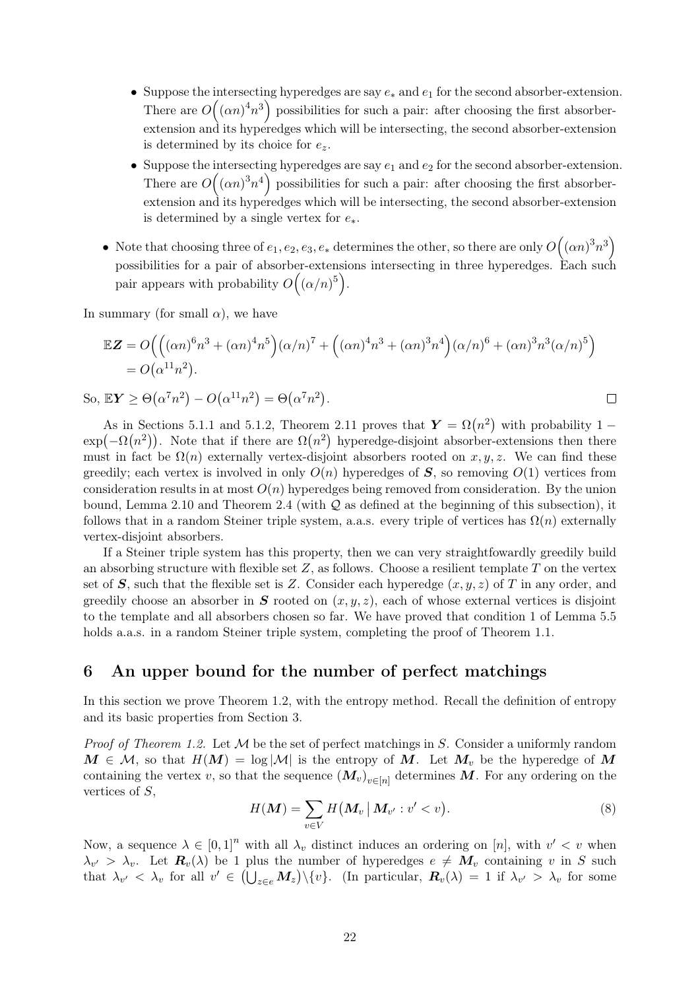- Suppose the intersecting hyperedges are say  $e_*$  and  $e_1$  for the second absorber-extension. There are  $O((\alpha n)^4 n^3)$  possibilities for such a pair: after choosing the first absorberextension and its hyperedges which will be intersecting, the second absorber-extension is determined by its choice for  $e_z$ .
- Suppose the intersecting hyperedges are say  $e_1$  and  $e_2$  for the second absorber-extension. There are  $O((\alpha n)^3 n^4)$  possibilities for such a pair: after choosing the first absorberextension and its hyperedges which will be intersecting, the second absorber-extension is determined by a single vertex for  $e_*$ .
- Note that choosing three of  $e_1, e_2, e_3, e_*$  determines the other, so there are only  $O((\alpha n)^3 n^3)$ possibilities for a pair of absorber-extensions intersecting in three hyperedges. Each such pair appears with probability  $O((\alpha/n)^5)$ .

In summary (for small  $\alpha$ ), we have

$$
\mathbb{E}\mathbf{Z} = O((\alpha n)^6 n^3 + (\alpha n)^4 n^5)(\alpha/n)^7 + ((\alpha n)^4 n^3 + (\alpha n)^3 n^4)(\alpha/n)^6 + (\alpha n)^3 n^3(\alpha/n)^5) = O(\alpha^{11} n^2).
$$

So,  $\mathbb{E}Y \geq \Theta(\alpha^7 n^2) - O(\alpha^{11} n^2) = \Theta(\alpha^7 n^2)$ .

As in [Sections 5.1.1](#page-18-0) and [5.1.2,](#page-18-1) [Theorem 2.11](#page-8-0) proves that  $Y = \Omega(n^2)$  with probability 1 –  $\exp(-\Omega(n^2))$ . Note that if there are  $\Omega(n^2)$  hyperedge-disjoint absorber-extensions then there must in fact be  $\Omega(n)$  externally vertex-disjoint absorbers rooted on x, y, z. We can find these greedily; each vertex is involved in only  $O(n)$  hyperedges of S, so removing  $O(1)$  vertices from consideration results in at most  $O(n)$  hyperedges being removed from consideration. By the union bound, [Lemma 2.10](#page-7-1) and [Theorem 2.4](#page-4-0) (with  $\mathcal Q$  as defined at the beginning of this subsection), it follows that in a random Steiner triple system, a.a.s. every triple of vertices has  $\Omega(n)$  externally vertex-disjoint absorbers.

If a Steiner triple system has this property, then we can very straightfowardly greedily build an absorbing structure with flexible set  $Z$ , as follows. Choose a resilient template  $T$  on the vertex set of S, such that the flexible set is Z. Consider each hyperedge  $(x, y, z)$  of T in any order, and greedily choose an absorber in  $S$  rooted on  $(x, y, z)$ , each of whose external vertices is disjoint to the template and all absorbers chosen so far. We have proved that [condition 1](#page-16-3) of [Lemma 5.5](#page-16-2) holds a.a.s. in a random Steiner triple system, completing the proof of [Theorem 1.1.](#page-1-1)

### <span id="page-21-0"></span>6 An upper bound for the number of perfect matchings

In this section we prove [Theorem 1.2,](#page-2-0) with the entropy method. Recall the definition of entropy and its basic properties from [Section 3.](#page-9-0)

*Proof of [Theorem 1.2.](#page-2-0)* Let  $M$  be the set of perfect matchings in S. Consider a uniformly random  $M \in \mathcal{M}$ , so that  $H(M) = \log |\mathcal{M}|$  is the entropy of M. Let  $M_v$  be the hyperedge of M containing the vertex v, so that the sequence  $(M_v)_{v \in [n]}$  determines M. For any ordering on the vertices of S,

<span id="page-21-1"></span>
$$
H(\boldsymbol{M}) = \sum_{v \in V} H(\boldsymbol{M}_v \,|\, \boldsymbol{M}_{v'} : v' < v). \tag{8}
$$

 $\Box$ 

Now, a sequence  $\lambda \in [0,1]^n$  with all  $\lambda_v$  distinct induces an ordering on [n], with  $v' < v$  when  $\lambda_{v'} > \lambda_v$ . Let  $\mathbf{R}_v(\lambda)$  be 1 plus the number of hyperedges  $e \neq \mathbf{M}_v$  containing v in S such that  $\lambda_{v'} < \lambda_v$  for all  $v' \in (\bigcup_{z \in e} M_z) \setminus \{v\}.$  (In particular,  $R_v(\lambda) = 1$  if  $\lambda_{v'} > \lambda_v$  for some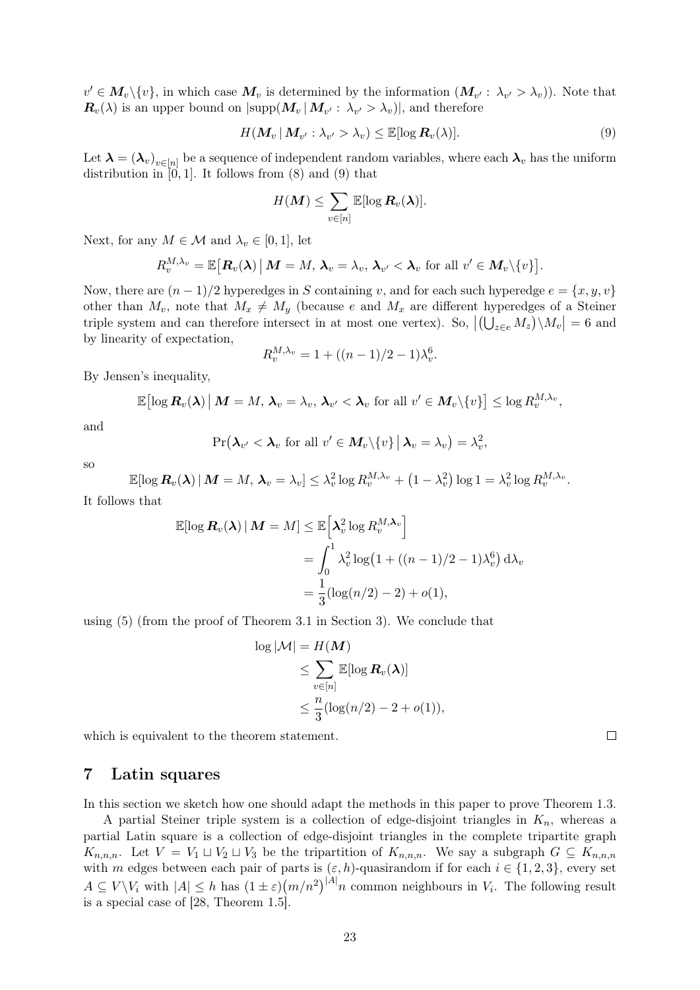$v' \in M_v \setminus \{v\}$ , in which case  $M_v$  is determined by the information  $(M_{v'}: \lambda_{v'} > \lambda_v)$ ). Note that  $\bm{R}_v(\lambda)$  is an upper bound on  $|\text{supp}(\bm{M}_v | \bm{M}_{v'}: \lambda_{v'} > \lambda_v)|$ , and therefore

<span id="page-22-1"></span>
$$
H(\mathbf{M}_v | \mathbf{M}_{v'}: \lambda_{v'} > \lambda_v) \leq \mathbb{E}[\log \mathbf{R}_v(\lambda)].
$$
\n(9)

,

Let  $\bm{\lambda} = (\bm{\lambda}_v)_{v \in [n]}$  be a sequence of independent random variables, where each  $\bm{\lambda}_v$  has the uniform distribution in  $[0, 1]$ . It follows from  $(8)$  and  $(9)$  that

$$
H({\boldsymbol M}) \leq \sum_{v \in [n]} \mathbb{E}[\log {\boldsymbol R}_v({\boldsymbol \lambda})].
$$

Next, for any  $M \in \mathcal{M}$  and  $\lambda_v \in [0, 1]$ , let

$$
R_v^{M,\lambda_v}=\mathbb{E}\big[\boldsymbol{R}_v(\boldsymbol{\lambda})\,\big|\, \boldsymbol{M}=M,\,\boldsymbol{\lambda}_v=\lambda_v,\,\boldsymbol{\lambda}_{v'}<\boldsymbol{\lambda}_v \text{ for all } v'\in \boldsymbol{M}_v\backslash\{v\}\big].
$$

Now, there are  $(n-1)/2$  hyperedges in S containing v, and for each such hyperedge  $e = \{x, y, v\}$ other than  $M_v$ , note that  $M_x \neq M_y$  (because e and  $M_x$  are different hyperedges of a Steiner triple system and can therefore intersect in at most one vertex). So,  $|(\bigcup_{z\in e}M_z)\setminus M_v|=6$  and by linearity of expectation,

$$
R_v^{M,\lambda_v} = 1 + ((n-1)/2 - 1)\lambda_v^6.
$$

By Jensen's inequality,

$$
\mathbb{E}\big[\log \boldsymbol{R}_{v}(\boldsymbol{\lambda})\,\big|\, \boldsymbol{M} = M, \, \boldsymbol{\lambda}_v = \lambda_v, \, \boldsymbol{\lambda}_{v'} < \boldsymbol{\lambda}_v \,\, \text{for all}\,\, v' \in \boldsymbol{M}_v\backslash\{v\}\big] \leq \log R_v^{M,\lambda_v},
$$

and

$$
\Pr(\boldsymbol{\lambda}_{v'} < \boldsymbol{\lambda}_v \text{ for all } v' \in \boldsymbol{M}_v \backslash \{v\} \, \big| \, \boldsymbol{\lambda}_v = \lambda_v \big) = \lambda_v^2
$$

so

$$
\mathbb{E}[\log \boldsymbol{R}_{v}(\boldsymbol{\lambda}) \,|\, \boldsymbol{M} = M,\, \boldsymbol{\lambda}_v = \lambda_v] \leq \lambda_v^2 \log R_v^{M,\lambda_v} + \left(1-\lambda_v^2\right) \log 1 = \lambda_v^2 \log R_v^{M,\lambda_v}.
$$

It follows that

$$
\mathbb{E}[\log \mathbf{R}_v(\boldsymbol{\lambda}) \,|\, \mathbf{M} = M] \leq \mathbb{E}\Big[\boldsymbol{\lambda}_v^2 \log R_v^{M, \boldsymbol{\lambda}_v}\Big]
$$
  
= 
$$
\int_0^1 \lambda_v^2 \log\big(1 + ((n-1)/2 - 1)\lambda_v^6\big) d\lambda_v
$$
  
= 
$$
\frac{1}{3}(\log(n/2) - 2) + o(1),
$$

using [\(5\)](#page-10-1) (from the proof of [Theorem 3.1](#page-9-3) in [Section 3\)](#page-9-0). We conclude that

$$
\log |\mathcal{M}| = H(\mathbf{M})
$$
  
\n
$$
\leq \sum_{v \in [n]} \mathbb{E}[\log \mathbf{R}_v(\boldsymbol{\lambda})]
$$
  
\n
$$
\leq \frac{n}{3} (\log(n/2) - 2 + o(1)),
$$

which is equivalent to the theorem statement.

### <span id="page-22-0"></span>7 Latin squares

In this section we sketch how one should adapt the methods in this paper to prove [Theorem 1.3.](#page-2-1)

<span id="page-22-2"></span>A partial Steiner triple system is a collection of edge-disjoint triangles in  $K_n$ , whereas a partial Latin square is a collection of edge-disjoint triangles in the complete tripartite graph  $K_{n,n,n}$ . Let  $V = V_1 \sqcup V_2 \sqcup V_3$  be the tripartition of  $K_{n,n,n}$ . We say a subgraph  $G \subseteq K_{n,n,n}$ with m edges between each pair of parts is  $(\varepsilon, h)$ -quasirandom if for each  $i \in \{1, 2, 3\}$ , every set  $A \subseteq V \backslash V_i$  with  $|A| \leq h$  has  $(1 \pm \varepsilon) (m/n^2)^{|A|} n$  common neighbours in  $V_i$ . The following result is a special case of [\[28,](#page-25-17) Theorem 1.5].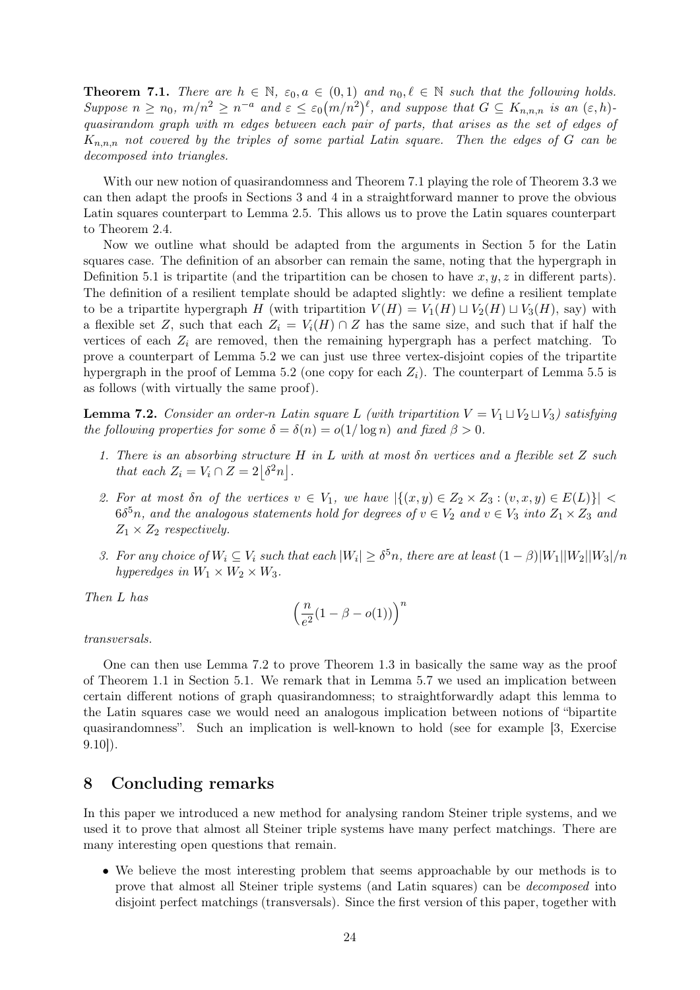**Theorem 7.1.** There are  $h \in \mathbb{N}$ ,  $\varepsilon_0, a \in (0,1)$  and  $n_0, \ell \in \mathbb{N}$  such that the following holds. Suppose  $n \ge n_0$ ,  $m/n^2 \ge n^{-a}$  and  $\varepsilon \le \varepsilon_0 (m/n^2)^{\ell}$ , and suppose that  $G \subseteq K_{n,n,n}$  is an  $(\varepsilon, h)$ . quasirandom graph with m edges between each pair of parts, that arises as the set of edges of  $K_{n,n,n}$  not covered by the triples of some partial Latin square. Then the edges of G can be decomposed into triangles.

With our new notion of quasirandomness and [Theorem 7.1](#page-22-2) playing the role of [Theorem 3.3](#page-11-0) we can then adapt the proofs in [Sections 3](#page-9-0) and [4](#page-12-0) in a straightforward manner to prove the obvious Latin squares counterpart to [Lemma 2.5.](#page-4-1) This allows us to prove the Latin squares counterpart to [Theorem 2.4.](#page-4-0)

Now we outline what should be adapted from the arguments in [Section 5](#page-15-0) for the Latin squares case. The definition of an absorber can remain the same, noting that the hypergraph in [Definition 5.1](#page-15-3) is tripartite (and the tripartition can be chosen to have  $x, y, z$  in different parts). The definition of a resilient template should be adapted slightly: we define a resilient template to be a tripartite hypergraph H (with tripartition  $V(H) = V_1(H) \sqcup V_2(H) \sqcup V_3(H)$ , say) with a flexible set Z, such that each  $Z_i = V_i(H) \cap Z$  has the same size, and such that if half the vertices of each  $Z_i$  are removed, then the remaining hypergraph has a perfect matching. To prove a counterpart of [Lemma 5.2](#page-15-1) we can just use three vertex-disjoint copies of the tripartite hypergraph in the proof of [Lemma 5.2](#page-15-1) (one copy for each  $Z_i$ ). The counterpart of [Lemma 5.5](#page-16-2) is as follows (with virtually the same proof).

<span id="page-23-1"></span>**Lemma 7.2.** Consider an order-n Latin square L (with tripartition  $V = V_1 \sqcup V_2 \sqcup V_3$ ) satisfying the following properties for some  $\delta = \delta(n) = o(1/\log n)$  and fixed  $\beta > 0$ .

- 1. There is an absorbing structure H in L with at most δn vertices and a flexible set Z such that each  $Z_i = V_i \cap Z = 2\left[\delta^2 n\right]$ .
- 2. For at most on of the vertices  $v \in V_1$ , we have  $|\{(x,y) \in Z_2 \times Z_3 : (v,x,y) \in E(L)\}|$  $6\delta^5 n$ , and the analogous statements hold for degrees of  $v \in V_2$  and  $v \in V_3$  into  $Z_1 \times Z_3$  and  $Z_1 \times Z_2$  respectively.
- 3. For any choice of  $W_i \subseteq V_i$  such that each  $|W_i| \geq \delta^5 n$ , there are at least  $(1 \beta)|W_1||W_2||W_3|/n$ hyperedges in  $W_1 \times W_2 \times W_3$ .

Then L has

$$
\left(\frac{n}{e^2}(1-\beta-o(1))\right)^n
$$

transversals.

One can then use [Lemma 7.2](#page-23-1) to prove [Theorem 1.3](#page-2-1) in basically the same way as the proof of [Theorem 1.1](#page-1-1) in [Section 5.1.](#page-18-2) We remark that in [Lemma 5.7](#page-19-2) we used an implication between certain different notions of graph quasirandomness; to straightforwardly adapt this lemma to the Latin squares case we would need an analogous implication between notions of "bipartite quasirandomness". Such an implication is well-known to hold (see for example [\[3,](#page-24-2) Exercise 9.10]).

# <span id="page-23-0"></span>8 Concluding remarks

In this paper we introduced a new method for analysing random Steiner triple systems, and we used it to prove that almost all Steiner triple systems have many perfect matchings. There are many interesting open questions that remain.

• We believe the most interesting problem that seems approachable by our methods is to prove that almost all Steiner triple systems (and Latin squares) can be decomposed into disjoint perfect matchings (transversals). Since the first version of this paper, together with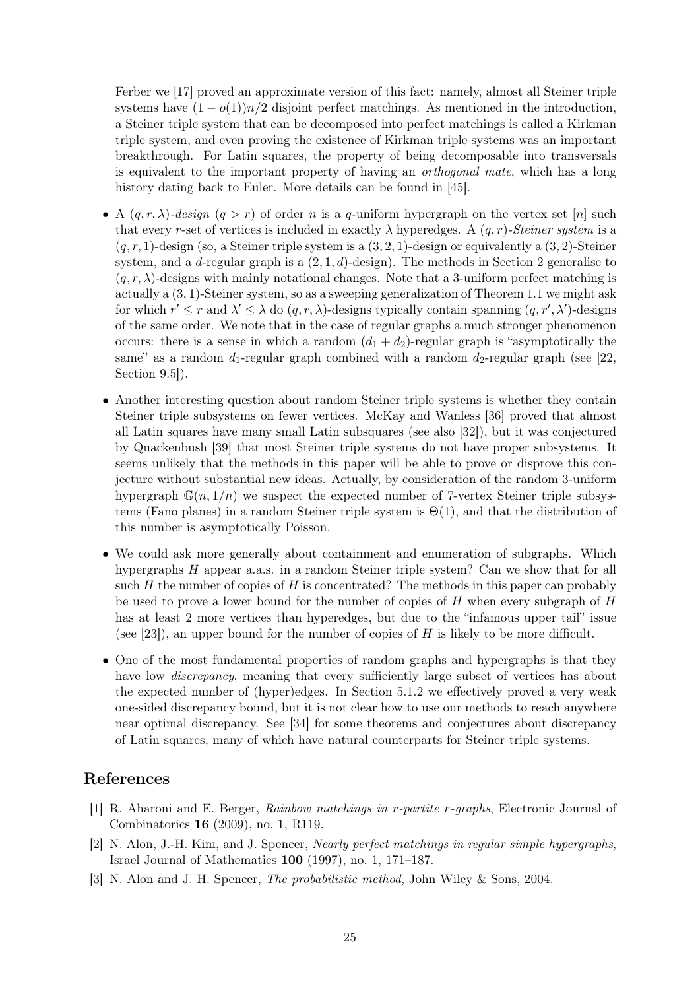Ferber we [\[17\]](#page-25-24) proved an approximate version of this fact: namely, almost all Steiner triple systems have  $(1 - o(1))n/2$  disjoint perfect matchings. As mentioned in the introduction, a Steiner triple system that can be decomposed into perfect matchings is called a Kirkman triple system, and even proving the existence of Kirkman triple systems was an important breakthrough. For Latin squares, the property of being decomposable into transversals is equivalent to the important property of having an orthogonal mate, which has a long history dating back to Euler. More details can be found in [\[45\]](#page-26-11).

- A  $(q, r, \lambda)$ -design  $(q > r)$  of order n is a q-uniform hypergraph on the vertex set [n] such that every r-set of vertices is included in exactly  $\lambda$  hyperedges. A  $(q, r)$ -Steiner system is a  $(q, r, 1)$ -design (so, a Steiner triple system is a  $(3, 2, 1)$ -design or equivalently a  $(3, 2)$ -Steiner system, and a d-regular graph is a  $(2, 1, d)$ -design). The methods in [Section 2](#page-3-0) generalise to  $(q, r, \lambda)$ -designs with mainly notational changes. Note that a 3-uniform perfect matching is actually a (3, 1)-Steiner system, so as a sweeping generalization of [Theorem 1.1](#page-1-1) we might ask for which  $r' \leq r$  and  $\lambda' \leq \lambda$  do  $(q, r, \lambda)$ -designs typically contain spanning  $(q, r', \lambda')$ -designs of the same order. We note that in the case of regular graphs a much stronger phenomenon occurs: there is a sense in which a random  $(d_1 + d_2)$ -regular graph is "asymptotically the same" as a random  $d_1$ -regular graph combined with a random  $d_2$ -regular graph (see [\[22,](#page-25-18) Section 9.5.].
- Another interesting question about random Steiner triple systems is whether they contain Steiner triple subsystems on fewer vertices. McKay and Wanless [\[36\]](#page-26-13) proved that almost all Latin squares have many small Latin subsquares (see also [\[32\]](#page-26-14)), but it was conjectured by Quackenbush [\[39\]](#page-26-18) that most Steiner triple systems do not have proper subsystems. It seems unlikely that the methods in this paper will be able to prove or disprove this conjecture without substantial new ideas. Actually, by consideration of the random 3-uniform hypergraph  $\mathbb{G}(n, 1/n)$  we suspect the expected number of 7-vertex Steiner triple subsystems (Fano planes) in a random Steiner triple system is  $\Theta(1)$ , and that the distribution of this number is asymptotically Poisson.
- We could ask more generally about containment and enumeration of subgraphs. Which hypergraphs H appear a.a.s. in a random Steiner triple system? Can we show that for all such  $H$  the number of copies of  $H$  is concentrated? The methods in this paper can probably be used to prove a lower bound for the number of copies of  $H$  when every subgraph of  $H$ has at least 2 more vertices than hyperedges, but due to the "infamous upper tail" issue (see [\[23\]](#page-25-25)), an upper bound for the number of copies of  $H$  is likely to be more difficult.
- One of the most fundamental properties of random graphs and hypergraphs is that they have low *discrepancy*, meaning that every sufficiently large subset of vertices has about the expected number of (hyper)edges. In [Section 5.1.2](#page-18-1) we effectively proved a very weak one-sided discrepancy bound, but it is not clear how to use our methods to reach anywhere near optimal discrepancy. See [\[34\]](#page-26-3) for some theorems and conjectures about discrepancy of Latin squares, many of which have natural counterparts for Steiner triple systems.

# References

- <span id="page-24-1"></span>[1] R. Aharoni and E. Berger, Rainbow matchings in r-partite r-graphs, Electronic Journal of Combinatorics 16 (2009), no. 1, R119.
- <span id="page-24-0"></span>[2] N. Alon, J.-H. Kim, and J. Spencer, Nearly perfect matchings in regular simple hypergraphs, Israel Journal of Mathematics 100 (1997), no. 1, 171–187.
- <span id="page-24-2"></span>[3] N. Alon and J. H. Spencer, The probabilistic method, John Wiley & Sons, 2004.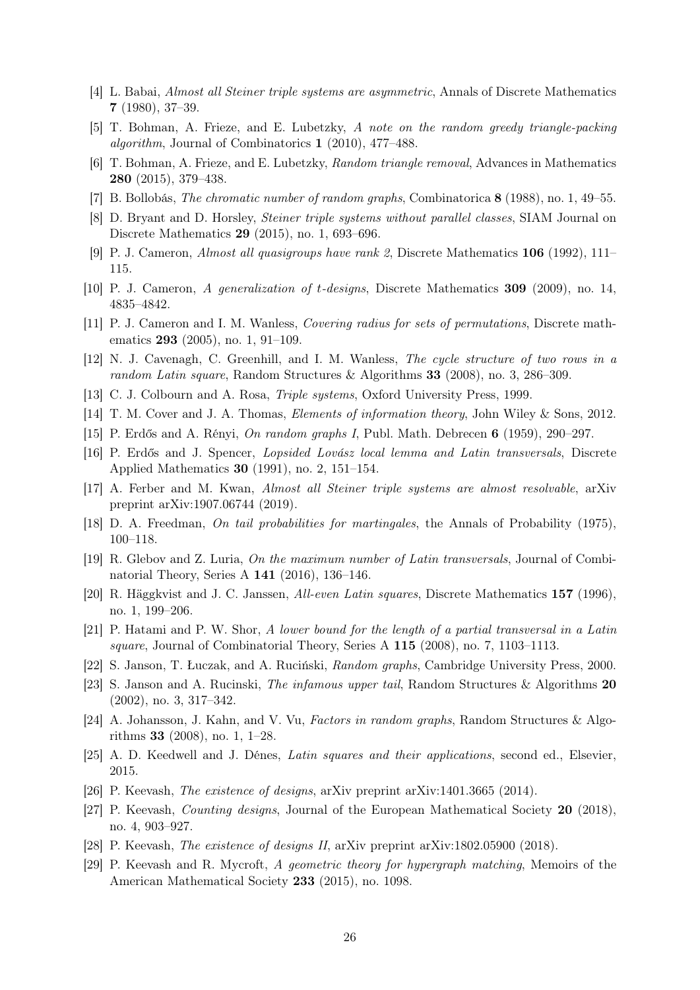- <span id="page-25-1"></span>[4] L. Babai, Almost all Steiner triple systems are asymmetric, Annals of Discrete Mathematics 7 (1980), 37–39.
- <span id="page-25-21"></span>[5] T. Bohman, A. Frieze, and E. Lubetzky, A note on the random greedy triangle-packing algorithm, Journal of Combinatorics 1 (2010), 477–488.
- <span id="page-25-20"></span>[6] T. Bohman, A. Frieze, and E. Lubetzky, Random triangle removal, Advances in Mathematics 280 (2015), 379–438.
- <span id="page-25-23"></span>[7] B. Bollobás, The chromatic number of random graphs, Combinatorica 8 (1988), no. 1, 49–55.
- <span id="page-25-8"></span>[8] D. Bryant and D. Horsley, Steiner triple systems without parallel classes, SIAM Journal on Discrete Mathematics 29 (2015), no. 1, 693–696.
- <span id="page-25-14"></span>[9] P. J. Cameron, Almost all quasigroups have rank 2, Discrete Mathematics 106 (1992), 111– 115.
- <span id="page-25-3"></span>[10] P. J. Cameron, A generalization of t-designs, Discrete Mathematics 309 (2009), no. 14, 4835–4842.
- <span id="page-25-10"></span>[11] P. J. Cameron and I. M. Wanless, Covering radius for sets of permutations, Discrete mathematics 293 (2005), no. 1, 91–109.
- <span id="page-25-16"></span>[12] N. J. Cavenagh, C. Greenhill, and I. M. Wanless, The cycle structure of two rows in a random Latin square, Random Structures & Algorithms 33 (2008), no. 3, 286–309.
- <span id="page-25-0"></span>[13] C. J. Colbourn and A. Rosa, Triple systems, Oxford University Press, 1999.
- <span id="page-25-19"></span>[14] T. M. Cover and J. A. Thomas, Elements of information theory, John Wiley & Sons, 2012.
- <span id="page-25-2"></span>[15] P. Erdős and A. Rényi, On random graphs I, Publ. Math. Debrecen 6 (1959), 290–297.
- <span id="page-25-9"></span>[16] P. Erdős and J. Spencer, Lopsided Lovász local lemma and Latin transversals, Discrete Applied Mathematics 30 (1991), no. 2, 151–154.
- <span id="page-25-24"></span>[17] A. Ferber and M. Kwan, Almost all Steiner triple systems are almost resolvable, arXiv preprint arXiv:1907.06744 (2019).
- <span id="page-25-22"></span>[18] D. A. Freedman, On tail probabilities for martingales, the Annals of Probability (1975), 100–118.
- <span id="page-25-13"></span>[19] R. Glebov and Z. Luria, On the maximum number of Latin transversals, Journal of Combinatorial Theory, Series A 141 (2016), 136–146.
- <span id="page-25-15"></span>[20] R. Häggkvist and J. C. Janssen, All-even Latin squares, Discrete Mathematics 157 (1996), no. 1, 199–206.
- <span id="page-25-11"></span>[21] P. Hatami and P. W. Shor, A lower bound for the length of a partial transversal in a Latin square, Journal of Combinatorial Theory, Series A 115 (2008), no. 7, 1103–1113.
- <span id="page-25-18"></span>[22] S. Janson, T. Łuczak, and A. Ruciński, Random graphs, Cambridge University Press, 2000.
- <span id="page-25-25"></span>[23] S. Janson and A. Rucinski, The infamous upper tail, Random Structures & Algorithms 20 (2002), no. 3, 317–342.
- <span id="page-25-6"></span>[24] A. Johansson, J. Kahn, and V. Vu, Factors in random graphs, Random Structures & Algorithms 33 (2008), no. 1, 1–28.
- <span id="page-25-12"></span>[25] A. D. Keedwell and J. Dénes, Latin squares and their applications, second ed., Elsevier, 2015.
- <span id="page-25-4"></span>[26] P. Keevash, The existence of designs, arXiv preprint arXiv:1401.3665 (2014).
- <span id="page-25-5"></span>[27] P. Keevash, Counting designs, Journal of the European Mathematical Society 20 (2018), no. 4, 903–927.
- <span id="page-25-17"></span>[28] P. Keevash, The existence of designs II, arXiv preprint arXiv:1802.05900 (2018).
- <span id="page-25-7"></span>[29] P. Keevash and R. Mycroft, A geometric theory for hypergraph matching, Memoirs of the American Mathematical Society 233 (2015), no. 1098.